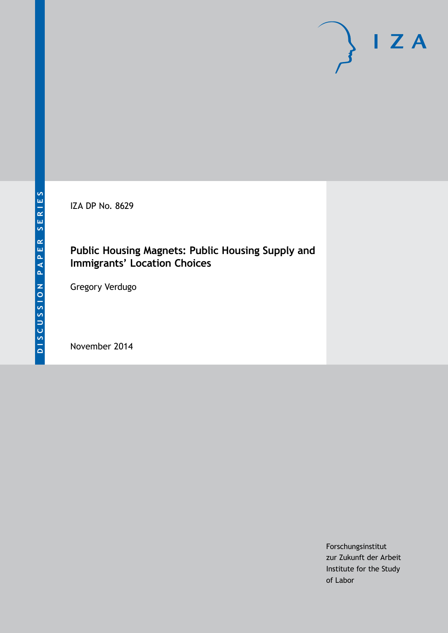IZA DP No. 8629

## **Public Housing Magnets: Public Housing Supply and Immigrants' Location Choices**

Gregory Verdugo

November 2014

Forschungsinstitut zur Zukunft der Arbeit Institute for the Study of Labor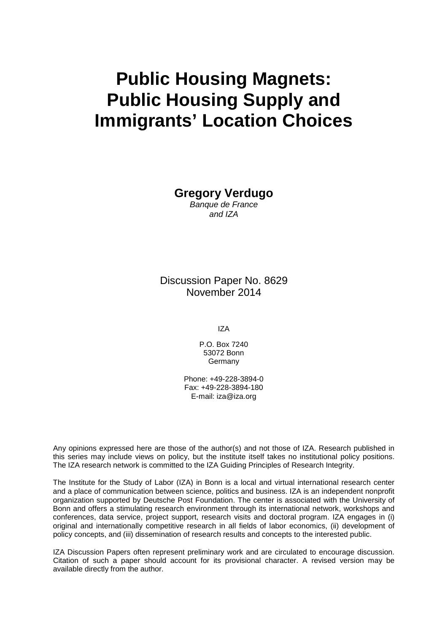# **Public Housing Magnets: Public Housing Supply and Immigrants' Location Choices**

**Gregory Verdugo** *Banque de France*

*and IZA*

Discussion Paper No. 8629 November 2014

IZA

P.O. Box 7240 53072 Bonn **Germany** 

Phone: +49-228-3894-0 Fax: +49-228-3894-180 E-mail: [iza@iza.org](mailto:iza@iza.org)

Any opinions expressed here are those of the author(s) and not those of IZA. Research published in this series may include views on policy, but the institute itself takes no institutional policy positions. The IZA research network is committed to the IZA Guiding Principles of Research Integrity.

The Institute for the Study of Labor (IZA) in Bonn is a local and virtual international research center and a place of communication between science, politics and business. IZA is an independent nonprofit organization supported by Deutsche Post Foundation. The center is associated with the University of Bonn and offers a stimulating research environment through its international network, workshops and conferences, data service, project support, research visits and doctoral program. IZA engages in (i) original and internationally competitive research in all fields of labor economics, (ii) development of policy concepts, and (iii) dissemination of research results and concepts to the interested public.

<span id="page-1-0"></span>IZA Discussion Papers often represent preliminary work and are circulated to encourage discussion. Citation of such a paper should account for its provisional character. A revised version may be available directly from the author.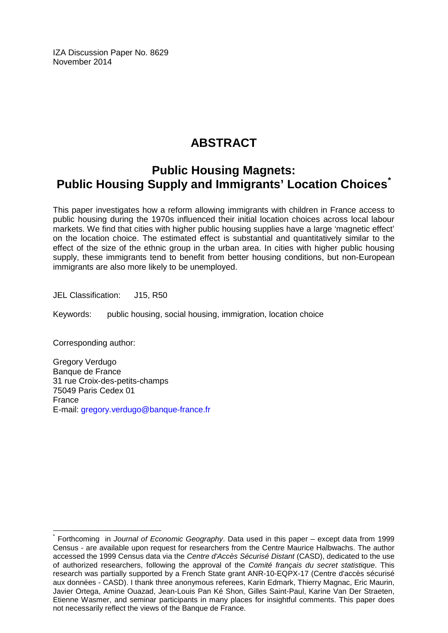IZA Discussion Paper No. 8629 November 2014

# **ABSTRACT**

## **Public Housing Magnets: Public Housing Supply and Immigrants' Location Choices[\\*](#page-1-0)**

This paper investigates how a reform allowing immigrants with children in France access to public housing during the 1970s influenced their initial location choices across local labour markets. We find that cities with higher public housing supplies have a large 'magnetic effect' on the location choice. The estimated effect is substantial and quantitatively similar to the effect of the size of the ethnic group in the urban area. In cities with higher public housing supply, these immigrants tend to benefit from better housing conditions, but non-European immigrants are also more likely to be unemployed.

JEL Classification: J15, R50

Keywords: public housing, social housing, immigration, location choice

Corresponding author:

Gregory Verdugo Banque de France 31 rue Croix-des-petits-champs 75049 Paris Cedex 01 France E-mail: [gregory.verdugo@banque-france.fr](mailto:gregory.verdugo@banque-france.fr)

\* Forthcoming in *Journal of Economic Geography*. Data used in this paper – except data from 1999 Census - are available upon request for researchers from the Centre Maurice Halbwachs. The author accessed the 1999 Census data via the *Centre d'Accès Sécurisé Distant* (CASD), dedicated to the use of authorized researchers, following the approval of the *Comité français du secret statistique*. This research was partially supported by a French State grant ANR-10-EQPX-17 (Centre d'accès sécurisé aux données - CASD). I thank three anonymous referees, Karin Edmark, Thierry Magnac, Eric Maurin, Javier Ortega, Amine Ouazad, Jean-Louis Pan Ké Shon, Gilles Saint-Paul, Karine Van Der Straeten, Etienne Wasmer, and seminar participants in many places for insightful comments. This paper does not necessarily reflect the views of the Banque de France.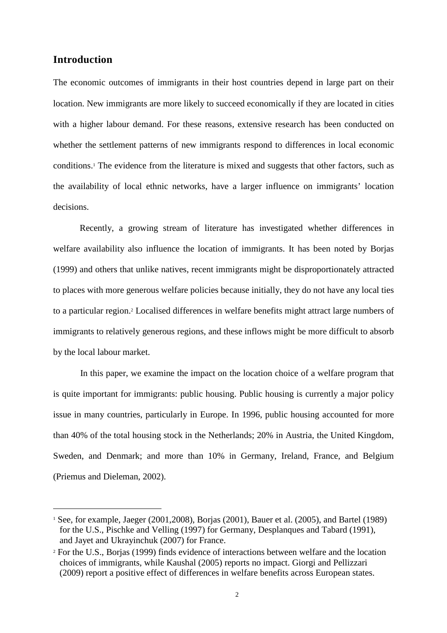## **Introduction**

 $\overline{a}$ 

The economic outcomes of immigrants in their host countries depend in large part on their location. New immigrants are more likely to succeed economically if they are located in cities with a higher labour demand. For these reasons, extensive research has been conducted on whether the settlement patterns of new immigrants respond to differences in local economic conditions.<sup>1</sup> The evidence from the literature is mixed and suggests that other factors, such as the availability of local ethnic networks, have a larger influence on immigrants' location decisions.

Recently, a growing stream of literature has investigated whether differences in welfare availability also influence the location of immigrants. It has been noted by Borjas (1999) and others that unlike natives, recent immigrants might be disproportionately attracted to places with more generous welfare policies because initially, they do not have any local ties to a particular region.<sup>2</sup> Localised differences in welfare benefits might attract large numbers of immigrants to relatively generous regions, and these inflows might be more difficult to absorb by the local labour market.

In this paper, we examine the impact on the location choice of a welfare program that is quite important for immigrants: public housing. Public housing is currently a major policy issue in many countries, particularly in Europe. In 1996, public housing accounted for more than 40% of the total housing stock in the Netherlands; 20% in Austria, the United Kingdom, Sweden, and Denmark; and more than 10% in Germany, Ireland, France, and Belgium (Priemus and Dieleman, 2002).

<sup>1</sup> See, for example, Jaeger (2001,2008), Borjas (2001), Bauer et al. (2005), and Bartel (1989) for the U.S., Pischke and Velling (1997) for Germany, Desplanques and Tabard (1991), and Jayet and Ukrayinchuk (2007) for France.

<sup>2</sup> For the U.S., Borjas (1999) finds evidence of interactions between welfare and the location choices of immigrants, while Kaushal (2005) reports no impact. Giorgi and Pellizzari (2009) report a positive effect of differences in welfare benefits across European states.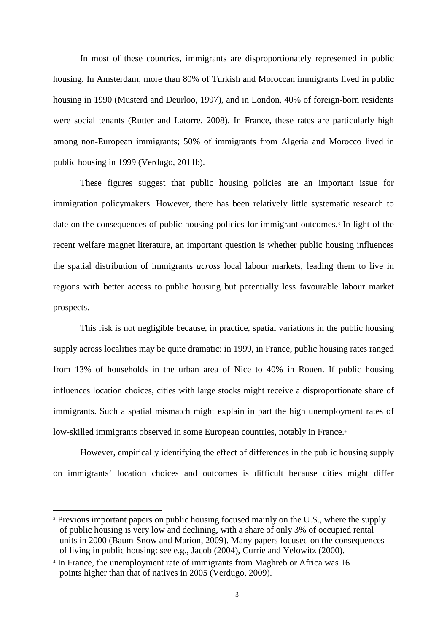In most of these countries, immigrants are disproportionately represented in public housing. In Amsterdam, more than 80% of Turkish and Moroccan immigrants lived in public housing in 1990 (Musterd and Deurloo, 1997), and in London, 40% of foreign-born residents were social tenants (Rutter and Latorre, 2008). In France, these rates are particularly high among non-European immigrants; 50% of immigrants from Algeria and Morocco lived in public housing in 1999 (Verdugo, 2011b).

These figures suggest that public housing policies are an important issue for immigration policymakers. However, there has been relatively little systematic research to date on the consequences of public housing policies for immigrant outcomes.<sup>3</sup> In light of the recent welfare magnet literature, an important question is whether public housing influences the spatial distribution of immigrants *across* local labour markets, leading them to live in regions with better access to public housing but potentially less favourable labour market prospects.

This risk is not negligible because, in practice, spatial variations in the public housing supply across localities may be quite dramatic: in 1999, in France, public housing rates ranged from 13% of households in the urban area of Nice to 40% in Rouen. If public housing influences location choices, cities with large stocks might receive a disproportionate share of immigrants. Such a spatial mismatch might explain in part the high unemployment rates of low-skilled immigrants observed in some European countries, notably in France.<sup>4</sup>

However, empirically identifying the effect of differences in the public housing supply on immigrants' location choices and outcomes is difficult because cities might differ

<sup>&</sup>lt;sup>3</sup> Previous important papers on public housing focused mainly on the U.S., where the supply of public housing is very low and declining, with a share of only 3% of occupied rental units in 2000 (Baum-Snow and Marion, 2009). Many papers focused on the consequences of living in public housing: see e.g., Jacob (2004), Currie and Yelowitz (2000).

<sup>4</sup> In France, the unemployment rate of immigrants from Maghreb or Africa was 16 points higher than that of natives in 2005 (Verdugo, 2009).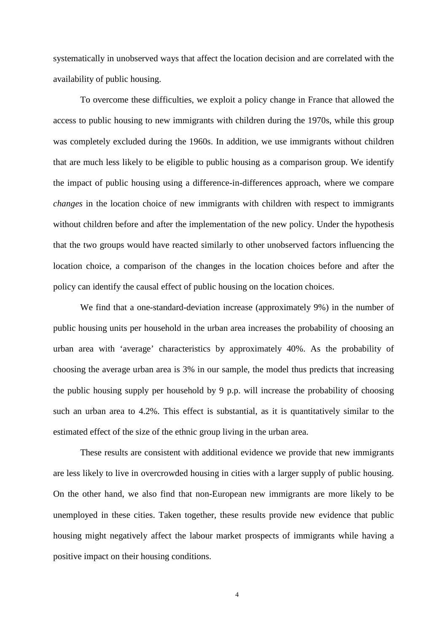systematically in unobserved ways that affect the location decision and are correlated with the availability of public housing.

To overcome these difficulties, we exploit a policy change in France that allowed the access to public housing to new immigrants with children during the 1970s, while this group was completely excluded during the 1960s. In addition, we use immigrants without children that are much less likely to be eligible to public housing as a comparison group. We identify the impact of public housing using a difference-in-differences approach, where we compare *changes* in the location choice of new immigrants with children with respect to immigrants without children before and after the implementation of the new policy. Under the hypothesis that the two groups would have reacted similarly to other unobserved factors influencing the location choice, a comparison of the changes in the location choices before and after the policy can identify the causal effect of public housing on the location choices.

We find that a one-standard-deviation increase (approximately 9%) in the number of public housing units per household in the urban area increases the probability of choosing an urban area with 'average' characteristics by approximately 40%. As the probability of choosing the average urban area is 3% in our sample, the model thus predicts that increasing the public housing supply per household by 9 p.p. will increase the probability of choosing such an urban area to 4.2%. This effect is substantial, as it is quantitatively similar to the estimated effect of the size of the ethnic group living in the urban area.

These results are consistent with additional evidence we provide that new immigrants are less likely to live in overcrowded housing in cities with a larger supply of public housing. On the other hand, we also find that non-European new immigrants are more likely to be unemployed in these cities. Taken together, these results provide new evidence that public housing might negatively affect the labour market prospects of immigrants while having a positive impact on their housing conditions.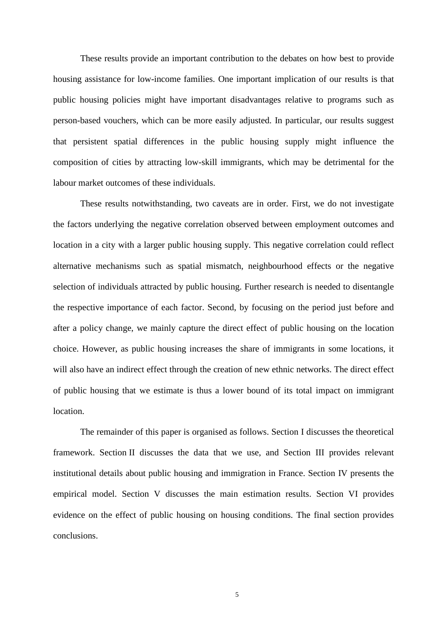These results provide an important contribution to the debates on how best to provide housing assistance for low-income families. One important implication of our results is that public housing policies might have important disadvantages relative to programs such as person-based vouchers, which can be more easily adjusted. In particular, our results suggest that persistent spatial differences in the public housing supply might influence the composition of cities by attracting low-skill immigrants, which may be detrimental for the labour market outcomes of these individuals.

These results notwithstanding, two caveats are in order. First, we do not investigate the factors underlying the negative correlation observed between employment outcomes and location in a city with a larger public housing supply. This negative correlation could reflect alternative mechanisms such as spatial mismatch, neighbourhood effects or the negative selection of individuals attracted by public housing. Further research is needed to disentangle the respective importance of each factor. Second, by focusing on the period just before and after a policy change, we mainly capture the direct effect of public housing on the location choice. However, as public housing increases the share of immigrants in some locations, it will also have an indirect effect through the creation of new ethnic networks. The direct effect of public housing that we estimate is thus a lower bound of its total impact on immigrant location.

The remainder of this paper is organised as follows. Section I discusses the theoretical framework. Section II discusses the data that we use, and Section III provides relevant institutional details about public housing and immigration in France. Section IV presents the empirical model. Section V discusses the main estimation results. Section VI provides evidence on the effect of public housing on housing conditions. The final section provides conclusions.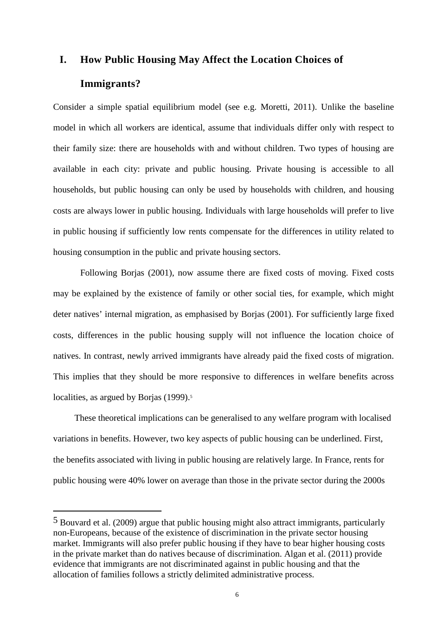# **I. How Public Housing May Affect the Location Choices of Immigrants?**

Consider a simple spatial equilibrium model (see e.g. Moretti, 2011). Unlike the baseline model in which all workers are identical, assume that individuals differ only with respect to their family size: there are households with and without children. Two types of housing are available in each city: private and public housing. Private housing is accessible to all households, but public housing can only be used by households with children, and housing costs are always lower in public housing. Individuals with large households will prefer to live in public housing if sufficiently low rents compensate for the differences in utility related to housing consumption in the public and private housing sectors.

Following Borjas (2001), now assume there are fixed costs of moving. Fixed costs may be explained by the existence of family or other social ties, for example, which might deter natives' internal migration, as emphasised by Borjas (2001). For sufficiently large fixed costs, differences in the public housing supply will not influence the location choice of natives. In contrast, newly arrived immigrants have already paid the fixed costs of migration. This implies that they should be more responsive to differences in welfare benefits across localities, as argued by Borjas (1999).<sup>5</sup>

These theoretical implications can be generalised to any welfare program with localised variations in benefits. However, two key aspects of public housing can be underlined. First, the benefits associated with living in public housing are relatively large. In France, rents for public housing were 40% lower on average than those in the private sector during the 2000s

<sup>5</sup> Bouvard et al. (2009) argue that public housing might also attract immigrants, particularly non-Europeans, because of the existence of discrimination in the private sector housing market. Immigrants will also prefer public housing if they have to bear higher housing costs in the private market than do natives because of discrimination. Algan et al. (2011) provide evidence that immigrants are not discriminated against in public housing and that the allocation of families follows a strictly delimited administrative process.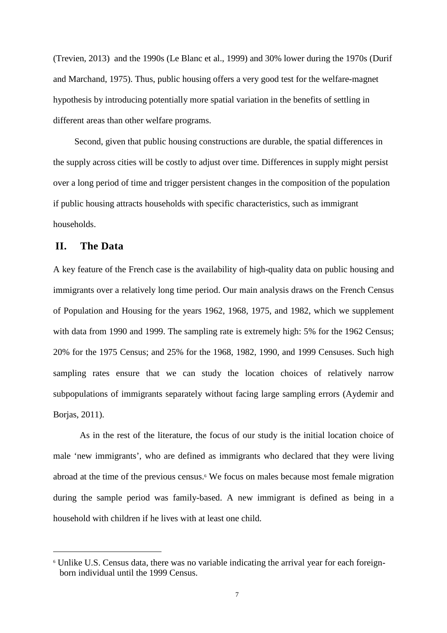(Trevien, 2013) and the 1990s (Le Blanc et al., 1999) and 30% lower during the 1970s (Durif and Marchand, 1975). Thus, public housing offers a very good test for the welfare-magnet hypothesis by introducing potentially more spatial variation in the benefits of settling in different areas than other welfare programs.

Second, given that public housing constructions are durable, the spatial differences in the supply across cities will be costly to adjust over time. Differences in supply might persist over a long period of time and trigger persistent changes in the composition of the population if public housing attracts households with specific characteristics, such as immigrant households.

### **II. The Data**

l

A key feature of the French case is the availability of high-quality data on public housing and immigrants over a relatively long time period. Our main analysis draws on the French Census of Population and Housing for the years 1962, 1968, 1975, and 1982, which we supplement with data from 1990 and 1999. The sampling rate is extremely high: 5% for the 1962 Census; 20% for the 1975 Census; and 25% for the 1968, 1982, 1990, and 1999 Censuses. Such high sampling rates ensure that we can study the location choices of relatively narrow subpopulations of immigrants separately without facing large sampling errors (Aydemir and Borjas, 2011).

As in the rest of the literature, the focus of our study is the initial location choice of male 'new immigrants', who are defined as immigrants who declared that they were living abroad at the time of the previous census.<sup>6</sup> We focus on males because most female migration during the sample period was family-based. A new immigrant is defined as being in a household with children if he lives with at least one child.

<sup>&</sup>lt;sup>6</sup> Unlike U.S. Census data, there was no variable indicating the arrival year for each foreignborn individual until the 1999 Census.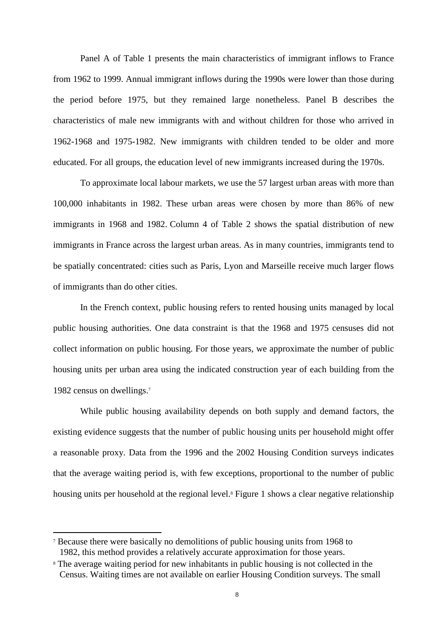Panel A of Table 1 presents the main characteristics of immigrant inflows to France from 1962 to 1999. Annual immigrant inflows during the 1990s were lower than those during the period before 1975, but they remained large nonetheless. Panel B describes the characteristics of male new immigrants with and without children for those who arrived in 1962-1968 and 1975-1982. New immigrants with children tended to be older and more educated. For all groups, the education level of new immigrants increased during the 1970s.

To approximate local labour markets, we use the 57 largest urban areas with more than 100,000 inhabitants in 1982. These urban areas were chosen by more than 86% of new immigrants in 1968 and 1982. Column 4 of Table 2 shows the spatial distribution of new immigrants in France across the largest urban areas. As in many countries, immigrants tend to be spatially concentrated: cities such as Paris, Lyon and Marseille receive much larger flows of immigrants than do other cities.

In the French context, public housing refers to rented housing units managed by local public housing authorities. One data constraint is that the 1968 and 1975 censuses did not collect information on public housing. For those years, we approximate the number of public housing units per urban area using the indicated construction year of each building from the 1982 census on dwellings.<sup>7</sup>

While public housing availability depends on both supply and demand factors, the existing evidence suggests that the number of public housing units per household might offer a reasonable proxy. Data from the 1996 and the 2002 Housing Condition surveys indicates that the average waiting period is, with few exceptions, proportional to the number of public housing units per household at the regional level.<sup>8</sup> Figure 1 shows a clear negative relationship

<sup>7</sup> Because there were basically no demolitions of public housing units from 1968 to 1982, this method provides a relatively accurate approximation for those years.

<sup>&</sup>lt;sup>8</sup> The average waiting period for new inhabitants in public housing is not collected in the Census. Waiting times are not available on earlier Housing Condition surveys. The small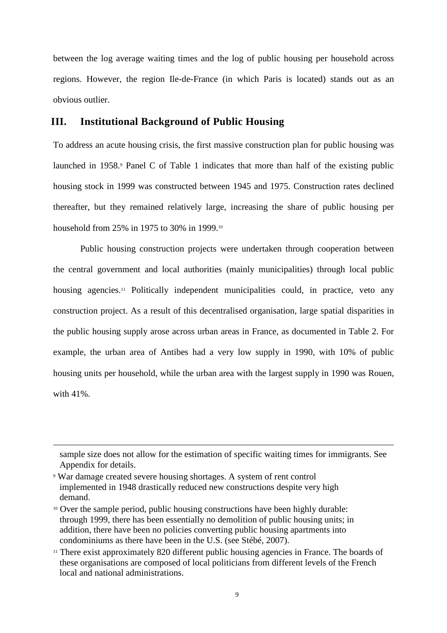between the log average waiting times and the log of public housing per household across regions. However, the region Ile-de-France (in which Paris is located) stands out as an obvious outlier.

### **III. Institutional Background of Public Housing**

To address an acute housing crisis, the first massive construction plan for public housing was launched in 1958.<sup>9</sup> Panel C of Table 1 indicates that more than half of the existing public housing stock in 1999 was constructed between 1945 and 1975. Construction rates declined thereafter, but they remained relatively large, increasing the share of public housing per household from 25% in 1975 to 30% in 1999.<sup>10</sup>

Public housing construction projects were undertaken through cooperation between the central government and local authorities (mainly municipalities) through local public housing agencies.<sup>11</sup> Politically independent municipalities could, in practice, veto any construction project. As a result of this decentralised organisation, large spatial disparities in the public housing supply arose across urban areas in France, as documented in Table 2. For example, the urban area of Antibes had a very low supply in 1990, with 10% of public housing units per household, while the urban area with the largest supply in 1990 was Rouen, with 41%.

sample size does not allow for the estimation of specific waiting times for immigrants. See Appendix for details.

<sup>9</sup> War damage created severe housing shortages. A system of rent control implemented in 1948 drastically reduced new constructions despite very high demand.

<sup>&</sup>lt;sup>10</sup> Over the sample period, public housing constructions have been highly durable: through 1999, there has been essentially no demolition of public housing units; in addition, there have been no policies converting public housing apartments into condominiums as there have been in the U.S. (see Stébé, 2007).

<sup>&</sup>lt;sup>11</sup> There exist approximately 820 different public housing agencies in France. The boards of these organisations are composed of local politicians from different levels of the French local and national administrations.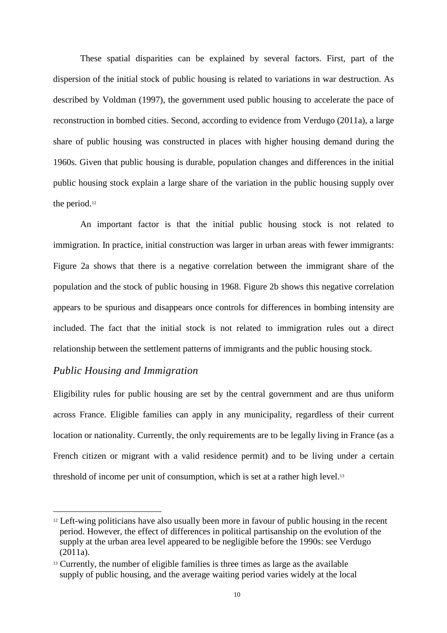These spatial disparities can be explained by several factors. First, part of the dispersion of the initial stock of public housing is related to variations in war destruction. As described by Voldman (1997), the government used public housing to accelerate the pace of reconstruction in bombed cities. Second, according to evidence from Verdugo (2011a), a large share of public housing was constructed in places with higher housing demand during the 1960s. Given that public housing is durable, population changes and differences in the initial public housing stock explain a large share of the variation in the public housing supply over the period.<sup>12</sup>

An important factor is that the initial public housing stock is not related to immigration. In practice, initial construction was larger in urban areas with fewer immigrants: Figure 2a shows that there is a negative correlation between the immigrant share of the population and the stock of public housing in 1968. Figure 2b shows this negative correlation appears to be spurious and disappears once controls for differences in bombing intensity are included. The fact that the initial stock is not related to immigration rules out a direct relationship between the settlement patterns of immigrants and the public housing stock.

### *Public Housing and Immigration*

l

Eligibility rules for public housing are set by the central government and are thus uniform across France. Eligible families can apply in any municipality, regardless of their current location or nationality. Currently, the only requirements are to be legally living in France (as a French citizen or migrant with a valid residence permit) and to be living under a certain threshold of income per unit of consumption, which is set at a rather high level.<sup>13</sup>

<sup>&</sup>lt;sup>12</sup> Left-wing politicians have also usually been more in favour of public housing in the recent period. However, the effect of differences in political partisanship on the evolution of the supply at the urban area level appeared to be negligible before the 1990s: see Verdugo (2011a).

 $13$  Currently, the number of eligible families is three times as large as the available supply of public housing, and the average waiting period varies widely at the local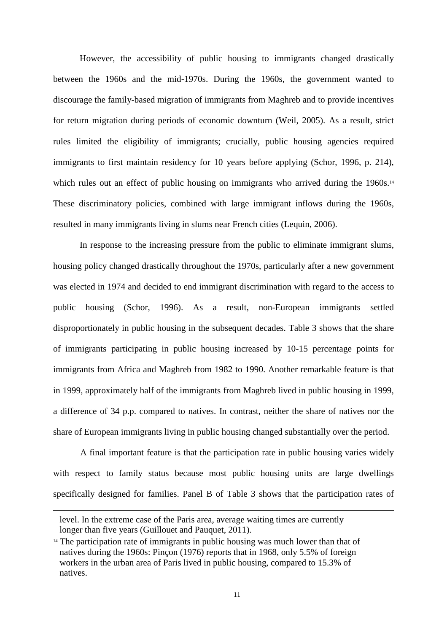However, the accessibility of public housing to immigrants changed drastically between the 1960s and the mid-1970s. During the 1960s, the government wanted to discourage the family-based migration of immigrants from Maghreb and to provide incentives for return migration during periods of economic downturn (Weil, 2005). As a result, strict rules limited the eligibility of immigrants; crucially, public housing agencies required immigrants to first maintain residency for 10 years before applying (Schor, 1996, p. 214), which rules out an effect of public housing on immigrants who arrived during the 1960s.<sup>14</sup> These discriminatory policies, combined with large immigrant inflows during the 1960s, resulted in many immigrants living in slums near French cities (Lequin, 2006).

In response to the increasing pressure from the public to eliminate immigrant slums, housing policy changed drastically throughout the 1970s, particularly after a new government was elected in 1974 and decided to end immigrant discrimination with regard to the access to public housing (Schor, 1996). As a result, non-European immigrants settled disproportionately in public housing in the subsequent decades. Table 3 shows that the share of immigrants participating in public housing increased by 10-15 percentage points for immigrants from Africa and Maghreb from 1982 to 1990. Another remarkable feature is that in 1999, approximately half of the immigrants from Maghreb lived in public housing in 1999, a difference of 34 p.p. compared to natives. In contrast, neither the share of natives nor the share of European immigrants living in public housing changed substantially over the period.

A final important feature is that the participation rate in public housing varies widely with respect to family status because most public housing units are large dwellings specifically designed for families. Panel B of Table 3 shows that the participation rates of

level. In the extreme case of the Paris area, average waiting times are currently longer than five years (Guillouet and Pauquet, 2011).

<sup>&</sup>lt;sup>14</sup> The participation rate of immigrants in public housing was much lower than that of natives during the 1960s: Pinçon (1976) reports that in 1968, only 5.5% of foreign workers in the urban area of Paris lived in public housing, compared to 15.3% of natives.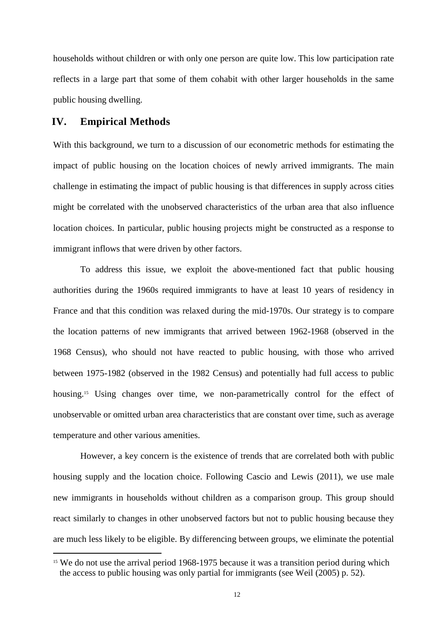households without children or with only one person are quite low. This low participation rate reflects in a large part that some of them cohabit with other larger households in the same public housing dwelling.

### **IV. Empirical Methods**

 $\overline{a}$ 

With this background, we turn to a discussion of our econometric methods for estimating the impact of public housing on the location choices of newly arrived immigrants. The main challenge in estimating the impact of public housing is that differences in supply across cities might be correlated with the unobserved characteristics of the urban area that also influence location choices. In particular, public housing projects might be constructed as a response to immigrant inflows that were driven by other factors.

To address this issue, we exploit the above-mentioned fact that public housing authorities during the 1960s required immigrants to have at least 10 years of residency in France and that this condition was relaxed during the mid-1970s. Our strategy is to compare the location patterns of new immigrants that arrived between 1962-1968 (observed in the 1968 Census), who should not have reacted to public housing, with those who arrived between 1975-1982 (observed in the 1982 Census) and potentially had full access to public housing.<sup>15</sup> Using changes over time, we non-parametrically control for the effect of unobservable or omitted urban area characteristics that are constant over time, such as average temperature and other various amenities.

However, a key concern is the existence of trends that are correlated both with public housing supply and the location choice. Following Cascio and Lewis (2011), we use male new immigrants in households without children as a comparison group. This group should react similarly to changes in other unobserved factors but not to public housing because they are much less likely to be eligible. By differencing between groups, we eliminate the potential

<sup>&</sup>lt;sup>15</sup> We do not use the arrival period 1968-1975 because it was a transition period during which the access to public housing was only partial for immigrants (see Weil (2005) p. 52).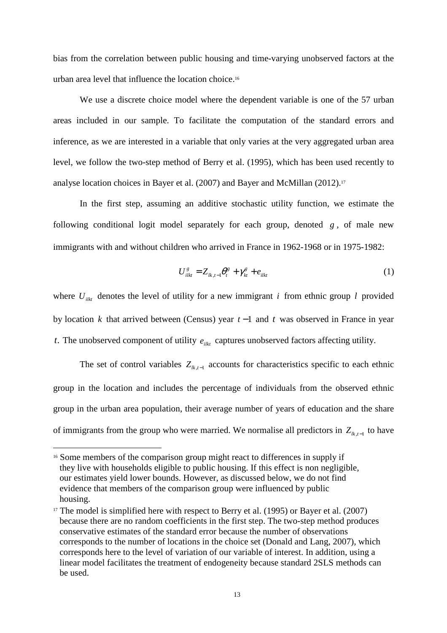bias from the correlation between public housing and time-varying unobserved factors at the urban area level that influence the location choice. 16

We use a discrete choice model where the dependent variable is one of the 57 urban areas included in our sample. To facilitate the computation of the standard errors and inference, as we are interested in a variable that only varies at the very aggregated urban area level, we follow the two-step method of Berry et al. (1995), which has been used recently to analyse location choices in Bayer et al. (2007) and Bayer and McMillan (2012).<sup>17</sup>

In the first step, assuming an additive stochastic utility function, we estimate the following conditional logit model separately for each group, denoted *g* , of male new immigrants with and without children who arrived in France in 1962-1968 or in 1975-1982:

$$
U_{i\mathbf{k}t}^s = Z_{\mathbf{k},t-1}\theta_t^s + \gamma_{kt}^s + e_{i\mathbf{k}t} \tag{1}
$$

where  $U_{ikt}$  denotes the level of utility for a new immigrant *i* from ethnic group *l* provided by location *k* that arrived between (Census) year *t* −1 and *t* was observed in France in year *t*. The unobserved component of utility  $e_{ik}$  captures unobserved factors affecting utility.

The set of control variables  $Z_{lk,t-1}$  accounts for characteristics specific to each ethnic group in the location and includes the percentage of individuals from the observed ethnic group in the urban area population, their average number of years of education and the share of immigrants from the group who were married. We normalise all predictors in  $Z_{lk,t-1}$  to have

<sup>&</sup>lt;sup>16</sup> Some members of the comparison group might react to differences in supply if they live with households eligible to public housing. If this effect is non negligible, our estimates yield lower bounds. However, as discussed below, we do not find evidence that members of the comparison group were influenced by public housing.

 $17$  The model is simplified here with respect to Berry et al. (1995) or Bayer et al. (2007) because there are no random coefficients in the first step. The two-step method produces conservative estimates of the standard error because the number of observations corresponds to the number of locations in the choice set (Donald and Lang, 2007), which corresponds here to the level of variation of our variable of interest. In addition, using a linear model facilitates the treatment of endogeneity because standard 2SLS methods can be used.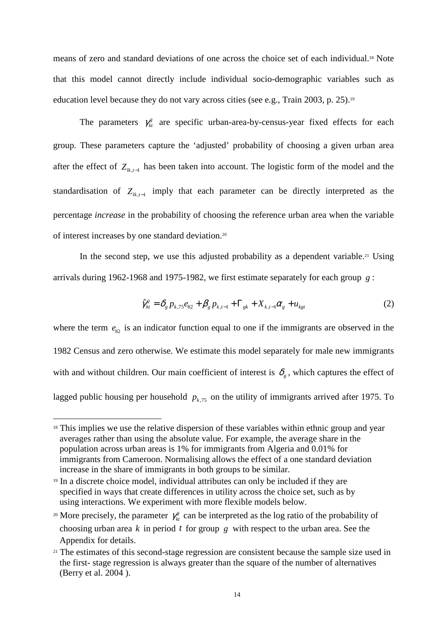means of zero and standard deviations of one across the choice set of each individual.18 Note that this model cannot directly include individual socio-demographic variables such as education level because they do not vary across cities (see e.g., Train 2003, p. 25).<sup>19</sup>

The parameters  $\gamma_{kt}^s$  are specific urban-area-by-census-year fixed effects for each group. These parameters capture the 'adjusted' probability of choosing a given urban area after the effect of  $Z_{lk,t-1}$  has been taken into account. The logistic form of the model and the standardisation of  $Z_{lk,t-1}$  imply that each parameter can be directly interpreted as the percentage *increase* in the probability of choosing the reference urban area when the variable of interest increases by one standard deviation.<sup>20</sup>

In the second step, we use this adjusted probability as a dependent variable.<sup>21</sup> Using arrivals during 1962-1968 and 1975-1982, we first estimate separately for each group *g* :

$$
\hat{\gamma}_{kt}^g = \delta_g p_{k,75} e_{82} + \beta_g p_{k,t-1} + \Gamma_{gk} + X_{k,t-1} \alpha_g + u_{kgt}
$$
\n(2)

where the term  $e_{82}$  is an indicator function equal to one if the immigrants are observed in the 1982 Census and zero otherwise. We estimate this model separately for male new immigrants with and without children. Our main coefficient of interest is  $\delta_{g}$ , which captures the effect of lagged public housing per household  $p_{k,75}$  on the utility of immigrants arrived after 1975. To

l

<sup>&</sup>lt;sup>18</sup> This implies we use the relative dispersion of these variables within ethnic group and year averages rather than using the absolute value. For example, the average share in the population across urban areas is 1% for immigrants from Algeria and 0.01% for immigrants from Cameroon. Normalising allows the effect of a one standard deviation increase in the share of immigrants in both groups to be similar.

<sup>19</sup> In a discrete choice model, individual attributes can only be included if they are specified in ways that create differences in utility across the choice set, such as by using interactions. We experiment with more flexible models below.

<sup>&</sup>lt;sup>20</sup> More precisely, the parameter  $\gamma_k^s$  can be interpreted as the log ratio of the probability of choosing urban area *k* in period *t* for group *g* with respect to the urban area. See the Appendix for details.

<sup>&</sup>lt;sup>21</sup> The estimates of this second-stage regression are consistent because the sample size used in the first- stage regression is always greater than the square of the number of alternatives (Berry et al. 2004 ).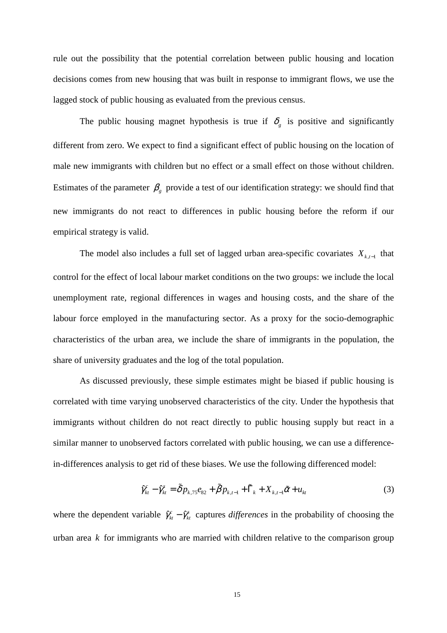rule out the possibility that the potential correlation between public housing and location decisions comes from new housing that was built in response to immigrant flows, we use the lagged stock of public housing as evaluated from the previous census.

The public housing magnet hypothesis is true if  $\delta_{g}$  is positive and significantly different from zero. We expect to find a significant effect of public housing on the location of male new immigrants with children but no effect or a small effect on those without children. Estimates of the parameter  $\beta_{g}$  provide a test of our identification strategy: we should find that new immigrants do not react to differences in public housing before the reform if our empirical strategy is valid.

The model also includes a full set of lagged urban area-specific covariates  $X_{k,t-1}$  that control for the effect of local labour market conditions on the two groups: we include the local unemployment rate, regional differences in wages and housing costs, and the share of the labour force employed in the manufacturing sector. As a proxy for the socio-demographic characteristics of the urban area, we include the share of immigrants in the population, the share of university graduates and the log of the total population.

As discussed previously, these simple estimates might be biased if public housing is correlated with time varying unobserved characteristics of the city. Under the hypothesis that immigrants without children do not react directly to public housing supply but react in a similar manner to unobserved factors correlated with public housing, we can use a differencein-differences analysis to get rid of these biases. We use the following differenced model:

$$
\hat{\gamma}_{kt}^c - \hat{\gamma}_{kt}^s = \tilde{\delta} p_{k,75} e_{82} + \tilde{\beta} p_{k,t-1} + \tilde{\Gamma}_k + X_{k,t-1} \tilde{\alpha} + u_{kt}
$$
\n(3)

where the dependent variable  $\hat{\gamma}_{kt}^c - \hat{\gamma}_{kt}^s$  captures *differences* in the probability of choosing the urban area *k* for immigrants who are married with children relative to the comparison group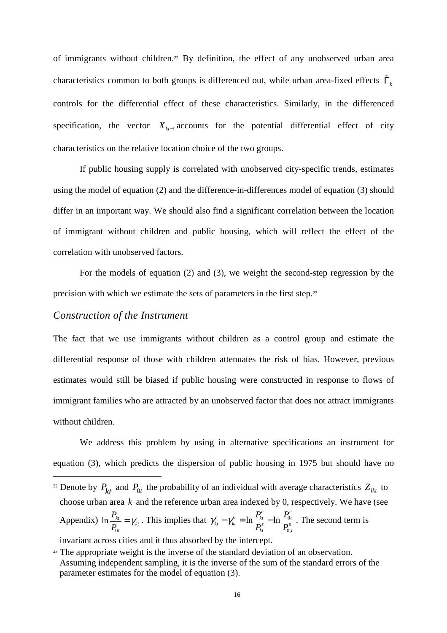of immigrants without children.22 By definition, the effect of any unobserved urban area characteristics common to both groups is differenced out, while urban area-fixed effects  $\tilde{\Gamma}_k$ controls for the differential effect of these characteristics. Similarly, in the differenced specification, the vector  $X_{kt-1}$  accounts for the potential differential effect of city characteristics on the relative location choice of the two groups.

If public housing supply is correlated with unobserved city-specific trends, estimates using the model of equation (2) and the difference-in-differences model of equation (3) should differ in an important way. We should also find a significant correlation between the location of immigrant without children and public housing, which will reflect the effect of the correlation with unobserved factors.

For the models of equation (2) and (3), we weight the second-step regression by the precision with which we estimate the sets of parameters in the first step.<sup>23</sup>

#### *Construction of the Instrument*

 $\overline{a}$ 

The fact that we use immigrants without children as a control group and estimate the differential response of those with children attenuates the risk of bias. However, previous estimates would still be biased if public housing were constructed in response to flows of immigrant families who are attracted by an unobserved factor that does not attract immigrants without children.

We address this problem by using in alternative specifications an instrument for equation (3), which predicts the dispersion of public housing in 1975 but should have no

invariant across cities and it thus absorbed by the intercept.

<sup>&</sup>lt;sup>22</sup> Denote by  $P_{kt}$  and  $P_{0t}$  the probability of an individual with average characteristics  $Z_{kt}$  to choose urban area *k* and the reference urban area indexed by 0, respectively. We have (see Appendix) 0  $\ln \frac{I_{kt}}{I} = \gamma_{kt}$ *t P P*  $=\gamma_{kt}$ . This implies that  $\gamma_{kt}^c - \gamma_{kt}^s = \ln \frac{I_{kt}}{R} - \ln \frac{I_0}{R}$ 0,  $\ln \frac{I_{kt}}{R_s} - \ln$  $\frac{c}{c}$  *c*  $\frac{c}{c}$  **c**  $\frac{P_t^c}{k}$  **c**  $\frac{P_t^c}{k}$  $k t$  / $k t$  **m**  $\boldsymbol{D}^s$  **m**  $\boldsymbol{D}^s$  $kt$   $\qquad \qquad 0,t$  $P_{kt}^c$  *n*  $P_t$  $P_{\scriptscriptstyle kt}^{\scriptscriptstyle s}$   $P_{\scriptscriptstyle (}$  $\gamma_{kt}^c - \gamma_{kt}^s = \ln \frac{I_{kt}}{R} - \ln \frac{I_{0t}}{R}$ . The second term is

<sup>&</sup>lt;sup>23</sup> The appropriate weight is the inverse of the standard deviation of an observation. Assuming independent sampling, it is the inverse of the sum of the standard errors of the parameter estimates for the model of equation (3).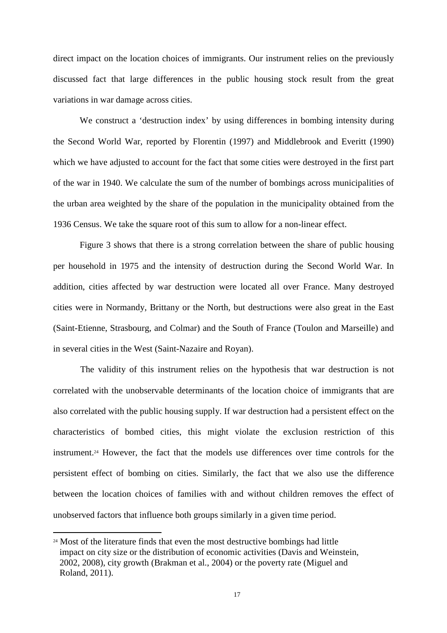direct impact on the location choices of immigrants. Our instrument relies on the previously discussed fact that large differences in the public housing stock result from the great variations in war damage across cities.

We construct a 'destruction index' by using differences in bombing intensity during the Second World War, reported by Florentin (1997) and Middlebrook and Everitt (1990) which we have adjusted to account for the fact that some cities were destroyed in the first part of the war in 1940. We calculate the sum of the number of bombings across municipalities of the urban area weighted by the share of the population in the municipality obtained from the 1936 Census. We take the square root of this sum to allow for a non-linear effect.

Figure 3 shows that there is a strong correlation between the share of public housing per household in 1975 and the intensity of destruction during the Second World War. In addition, cities affected by war destruction were located all over France. Many destroyed cities were in Normandy, Brittany or the North, but destructions were also great in the East (Saint-Etienne, Strasbourg, and Colmar) and the South of France (Toulon and Marseille) and in several cities in the West (Saint-Nazaire and Royan).

The validity of this instrument relies on the hypothesis that war destruction is not correlated with the unobservable determinants of the location choice of immigrants that are also correlated with the public housing supply. If war destruction had a persistent effect on the characteristics of bombed cities, this might violate the exclusion restriction of this instrument.24 However, the fact that the models use differences over time controls for the persistent effect of bombing on cities. Similarly, the fact that we also use the difference between the location choices of families with and without children removes the effect of unobserved factors that influence both groups similarly in a given time period.

<sup>&</sup>lt;sup>24</sup> Most of the literature finds that even the most destructive bombings had little impact on city size or the distribution of economic activities (Davis and Weinstein, 2002, 2008), city growth (Brakman et al., 2004) or the poverty rate (Miguel and Roland, 2011).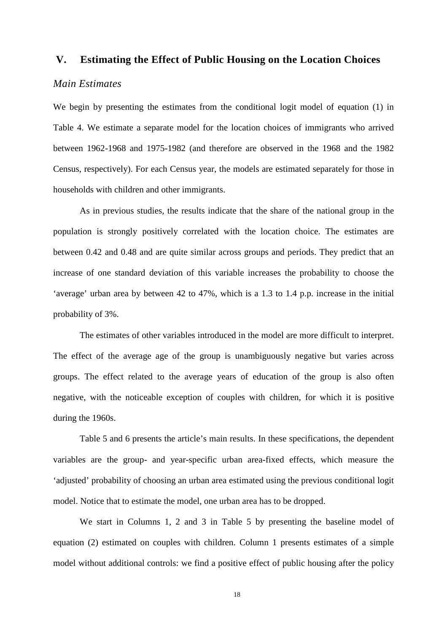### **V. Estimating the Effect of Public Housing on the Location Choices**

#### *Main Estimates*

We begin by presenting the estimates from the conditional logit model of equation (1) in Table 4. We estimate a separate model for the location choices of immigrants who arrived between 1962-1968 and 1975-1982 (and therefore are observed in the 1968 and the 1982 Census, respectively). For each Census year, the models are estimated separately for those in households with children and other immigrants.

As in previous studies, the results indicate that the share of the national group in the population is strongly positively correlated with the location choice. The estimates are between 0.42 and 0.48 and are quite similar across groups and periods. They predict that an increase of one standard deviation of this variable increases the probability to choose the 'average' urban area by between 42 to 47%, which is a 1.3 to 1.4 p.p. increase in the initial probability of 3%.

The estimates of other variables introduced in the model are more difficult to interpret. The effect of the average age of the group is unambiguously negative but varies across groups. The effect related to the average years of education of the group is also often negative, with the noticeable exception of couples with children, for which it is positive during the 1960s.

Table 5 and 6 presents the article's main results. In these specifications, the dependent variables are the group- and year-specific urban area-fixed effects, which measure the 'adjusted' probability of choosing an urban area estimated using the previous conditional logit model. Notice that to estimate the model, one urban area has to be dropped.

We start in Columns 1, 2 and 3 in Table 5 by presenting the baseline model of equation (2) estimated on couples with children. Column 1 presents estimates of a simple model without additional controls: we find a positive effect of public housing after the policy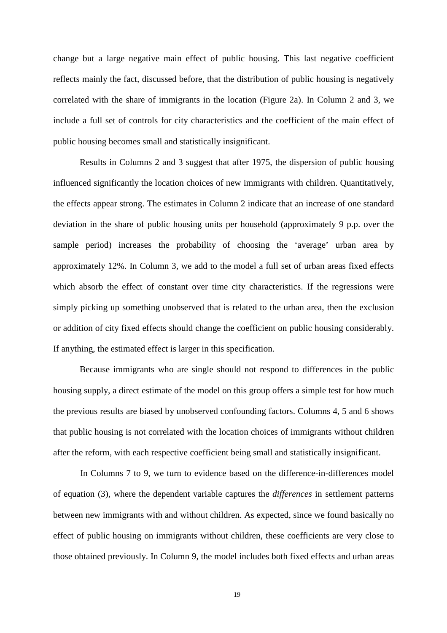change but a large negative main effect of public housing. This last negative coefficient reflects mainly the fact, discussed before, that the distribution of public housing is negatively correlated with the share of immigrants in the location (Figure 2a). In Column 2 and 3, we include a full set of controls for city characteristics and the coefficient of the main effect of public housing becomes small and statistically insignificant.

Results in Columns 2 and 3 suggest that after 1975, the dispersion of public housing influenced significantly the location choices of new immigrants with children. Quantitatively, the effects appear strong. The estimates in Column 2 indicate that an increase of one standard deviation in the share of public housing units per household (approximately 9 p.p. over the sample period) increases the probability of choosing the 'average' urban area by approximately 12%. In Column 3, we add to the model a full set of urban areas fixed effects which absorb the effect of constant over time city characteristics. If the regressions were simply picking up something unobserved that is related to the urban area, then the exclusion or addition of city fixed effects should change the coefficient on public housing considerably. If anything, the estimated effect is larger in this specification.

Because immigrants who are single should not respond to differences in the public housing supply, a direct estimate of the model on this group offers a simple test for how much the previous results are biased by unobserved confounding factors. Columns 4, 5 and 6 shows that public housing is not correlated with the location choices of immigrants without children after the reform, with each respective coefficient being small and statistically insignificant.

In Columns 7 to 9, we turn to evidence based on the difference-in-differences model of equation (3), where the dependent variable captures the *differences* in settlement patterns between new immigrants with and without children. As expected, since we found basically no effect of public housing on immigrants without children, these coefficients are very close to those obtained previously. In Column 9, the model includes both fixed effects and urban areas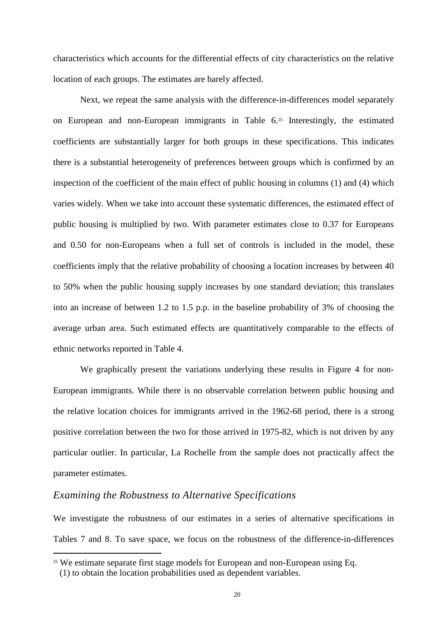characteristics which accounts for the differential effects of city characteristics on the relative location of each groups. The estimates are barely affected.

Next, we repeat the same analysis with the difference-in-differences model separately on European and non-European immigrants in Table 6.25 Interestingly, the estimated coefficients are substantially larger for both groups in these specifications. This indicates there is a substantial heterogeneity of preferences between groups which is confirmed by an inspection of the coefficient of the main effect of public housing in columns (1) and (4) which varies widely. When we take into account these systematic differences, the estimated effect of public housing is multiplied by two. With parameter estimates close to 0.37 for Europeans and 0.50 for non-Europeans when a full set of controls is included in the model, these coefficients imply that the relative probability of choosing a location increases by between 40 to 50% when the public housing supply increases by one standard deviation; this translates into an increase of between 1.2 to 1.5 p.p. in the baseline probability of 3% of choosing the average urban area. Such estimated effects are quantitatively comparable to the effects of ethnic networks reported in Table 4.

We graphically present the variations underlying these results in Figure 4 for non-European immigrants. While there is no observable correlation between public housing and the relative location choices for immigrants arrived in the 1962-68 period, there is a strong positive correlation between the two for those arrived in 1975-82, which is not driven by any particular outlier. In particular, La Rochelle from the sample does not practically affect the parameter estimates.

### *Examining the Robustness to Alternative Specifications*

We investigate the robustness of our estimates in a series of alternative specifications in Tables 7 and 8. To save space, we focus on the robustness of the difference-in-differences

 $25$  We estimate separate first stage models for European and non-European using Eq.

<sup>(1)</sup> to obtain the location probabilities used as dependent variables.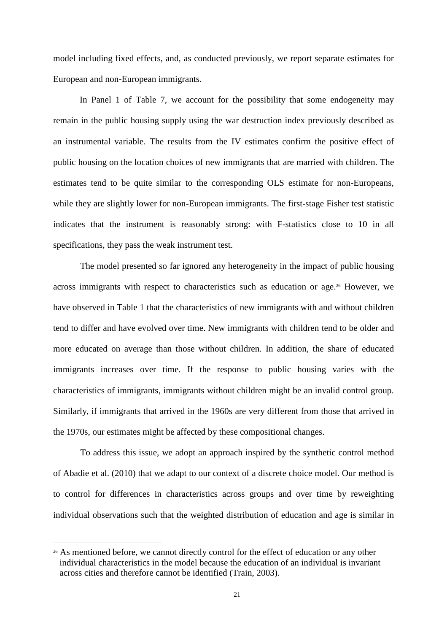model including fixed effects, and, as conducted previously, we report separate estimates for European and non-European immigrants.

In Panel 1 of Table 7, we account for the possibility that some endogeneity may remain in the public housing supply using the war destruction index previously described as an instrumental variable. The results from the IV estimates confirm the positive effect of public housing on the location choices of new immigrants that are married with children. The estimates tend to be quite similar to the corresponding OLS estimate for non-Europeans, while they are slightly lower for non-European immigrants. The first-stage Fisher test statistic indicates that the instrument is reasonably strong: with F-statistics close to 10 in all specifications, they pass the weak instrument test.

The model presented so far ignored any heterogeneity in the impact of public housing across immigrants with respect to characteristics such as education or age.<sup>26</sup> However, we have observed in Table 1 that the characteristics of new immigrants with and without children tend to differ and have evolved over time. New immigrants with children tend to be older and more educated on average than those without children. In addition, the share of educated immigrants increases over time. If the response to public housing varies with the characteristics of immigrants, immigrants without children might be an invalid control group. Similarly, if immigrants that arrived in the 1960s are very different from those that arrived in the 1970s, our estimates might be affected by these compositional changes.

To address this issue, we adopt an approach inspired by the synthetic control method of Abadie et al. (2010) that we adapt to our context of a discrete choice model. Our method is to control for differences in characteristics across groups and over time by reweighting individual observations such that the weighted distribution of education and age is similar in

<sup>&</sup>lt;sup>26</sup> As mentioned before, we cannot directly control for the effect of education or any other individual characteristics in the model because the education of an individual is invariant across cities and therefore cannot be identified (Train, 2003).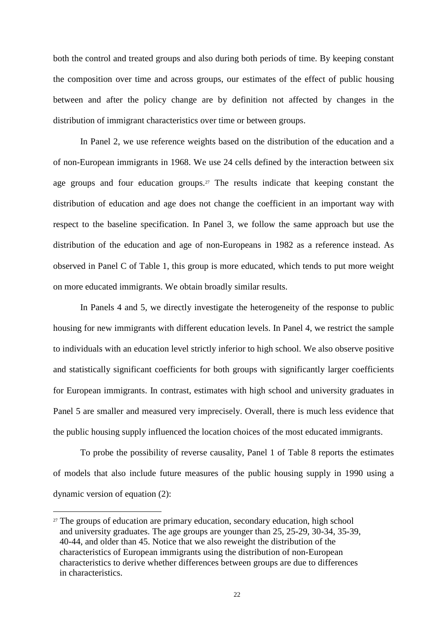both the control and treated groups and also during both periods of time. By keeping constant the composition over time and across groups, our estimates of the effect of public housing between and after the policy change are by definition not affected by changes in the distribution of immigrant characteristics over time or between groups.

In Panel 2, we use reference weights based on the distribution of the education and a of non-European immigrants in 1968. We use 24 cells defined by the interaction between six age groups and four education groups.<sup>27</sup> The results indicate that keeping constant the distribution of education and age does not change the coefficient in an important way with respect to the baseline specification. In Panel 3, we follow the same approach but use the distribution of the education and age of non-Europeans in 1982 as a reference instead. As observed in Panel C of Table 1, this group is more educated, which tends to put more weight on more educated immigrants. We obtain broadly similar results.

In Panels 4 and 5, we directly investigate the heterogeneity of the response to public housing for new immigrants with different education levels. In Panel 4, we restrict the sample to individuals with an education level strictly inferior to high school. We also observe positive and statistically significant coefficients for both groups with significantly larger coefficients for European immigrants. In contrast, estimates with high school and university graduates in Panel 5 are smaller and measured very imprecisely. Overall, there is much less evidence that the public housing supply influenced the location choices of the most educated immigrants.

To probe the possibility of reverse causality, Panel 1 of Table 8 reports the estimates of models that also include future measures of the public housing supply in 1990 using a dynamic version of equation (2):

l

<sup>&</sup>lt;sup>27</sup> The groups of education are primary education, secondary education, high school and university graduates. The age groups are younger than 25, 25-29, 30-34, 35-39, 40-44, and older than 45. Notice that we also reweight the distribution of the characteristics of European immigrants using the distribution of non-European characteristics to derive whether differences between groups are due to differences in characteristics.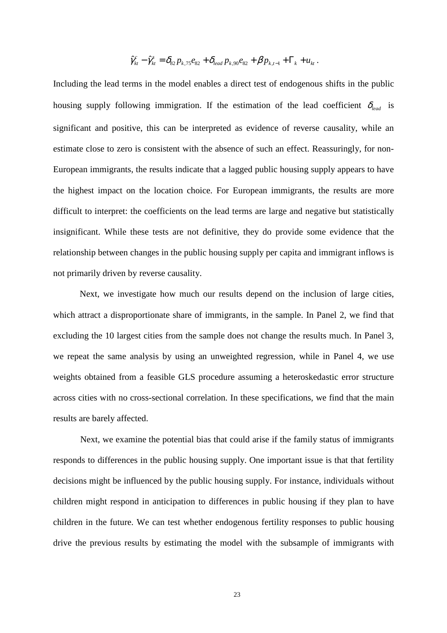$$
\hat{\gamma}_{kt}^c - \hat{\gamma}_{kt}^s = \delta_{82} p_{k,75} e_{82} + \delta_{lead} p_{k,90} e_{82} + \beta p_{k,t-1} + \Gamma_k + u_{kt}.
$$

Including the lead terms in the model enables a direct test of endogenous shifts in the public housing supply following immigration. If the estimation of the lead coefficient  $\delta_{lead}$  is significant and positive, this can be interpreted as evidence of reverse causality, while an estimate close to zero is consistent with the absence of such an effect. Reassuringly, for non-European immigrants, the results indicate that a lagged public housing supply appears to have the highest impact on the location choice. For European immigrants, the results are more difficult to interpret: the coefficients on the lead terms are large and negative but statistically insignificant. While these tests are not definitive, they do provide some evidence that the relationship between changes in the public housing supply per capita and immigrant inflows is not primarily driven by reverse causality.

Next, we investigate how much our results depend on the inclusion of large cities, which attract a disproportionate share of immigrants, in the sample. In Panel 2, we find that excluding the 10 largest cities from the sample does not change the results much. In Panel 3, we repeat the same analysis by using an unweighted regression, while in Panel 4, we use weights obtained from a feasible GLS procedure assuming a heteroskedastic error structure across cities with no cross-sectional correlation. In these specifications, we find that the main results are barely affected.

Next, we examine the potential bias that could arise if the family status of immigrants responds to differences in the public housing supply. One important issue is that that fertility decisions might be influenced by the public housing supply. For instance, individuals without children might respond in anticipation to differences in public housing if they plan to have children in the future. We can test whether endogenous fertility responses to public housing drive the previous results by estimating the model with the subsample of immigrants with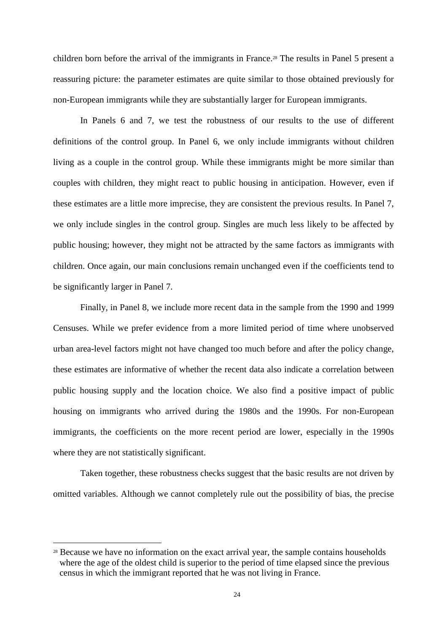children born before the arrival of the immigrants in France.<sup>28</sup> The results in Panel 5 present a reassuring picture: the parameter estimates are quite similar to those obtained previously for non-European immigrants while they are substantially larger for European immigrants.

In Panels 6 and 7, we test the robustness of our results to the use of different definitions of the control group. In Panel 6, we only include immigrants without children living as a couple in the control group. While these immigrants might be more similar than couples with children, they might react to public housing in anticipation. However, even if these estimates are a little more imprecise, they are consistent the previous results. In Panel 7, we only include singles in the control group. Singles are much less likely to be affected by public housing; however, they might not be attracted by the same factors as immigrants with children. Once again, our main conclusions remain unchanged even if the coefficients tend to be significantly larger in Panel 7.

Finally, in Panel 8, we include more recent data in the sample from the 1990 and 1999 Censuses. While we prefer evidence from a more limited period of time where unobserved urban area-level factors might not have changed too much before and after the policy change, these estimates are informative of whether the recent data also indicate a correlation between public housing supply and the location choice. We also find a positive impact of public housing on immigrants who arrived during the 1980s and the 1990s. For non-European immigrants, the coefficients on the more recent period are lower, especially in the 1990s where they are not statistically significant.

Taken together, these robustness checks suggest that the basic results are not driven by omitted variables. Although we cannot completely rule out the possibility of bias, the precise

<sup>&</sup>lt;sup>28</sup> Because we have no information on the exact arrival year, the sample contains households where the age of the oldest child is superior to the period of time elapsed since the previous census in which the immigrant reported that he was not living in France.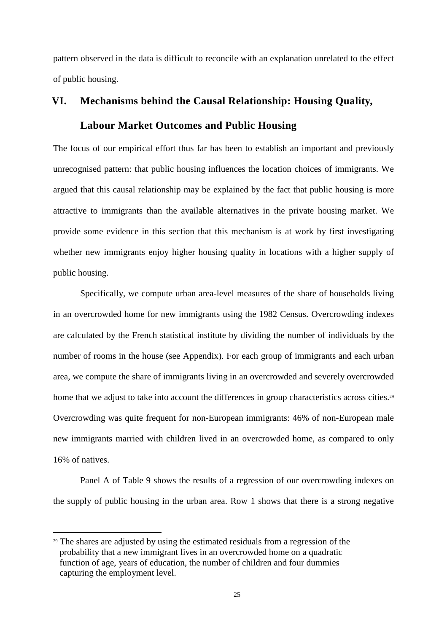pattern observed in the data is difficult to reconcile with an explanation unrelated to the effect of public housing.

# **VI. Mechanisms behind the Causal Relationship: Housing Quality,**

## **Labour Market Outcomes and Public Housing**

The focus of our empirical effort thus far has been to establish an important and previously unrecognised pattern: that public housing influences the location choices of immigrants. We argued that this causal relationship may be explained by the fact that public housing is more attractive to immigrants than the available alternatives in the private housing market. We provide some evidence in this section that this mechanism is at work by first investigating whether new immigrants enjoy higher housing quality in locations with a higher supply of public housing.

Specifically, we compute urban area-level measures of the share of households living in an overcrowded home for new immigrants using the 1982 Census. Overcrowding indexes are calculated by the French statistical institute by dividing the number of individuals by the number of rooms in the house (see Appendix). For each group of immigrants and each urban area, we compute the share of immigrants living in an overcrowded and severely overcrowded home that we adjust to take into account the differences in group characteristics across cities.<sup>29</sup> Overcrowding was quite frequent for non-European immigrants: 46% of non-European male new immigrants married with children lived in an overcrowded home, as compared to only 16% of natives.

Panel A of Table 9 shows the results of a regression of our overcrowding indexes on the supply of public housing in the urban area. Row 1 shows that there is a strong negative

<sup>29</sup> The shares are adjusted by using the estimated residuals from a regression of the probability that a new immigrant lives in an overcrowded home on a quadratic function of age, years of education, the number of children and four dummies capturing the employment level.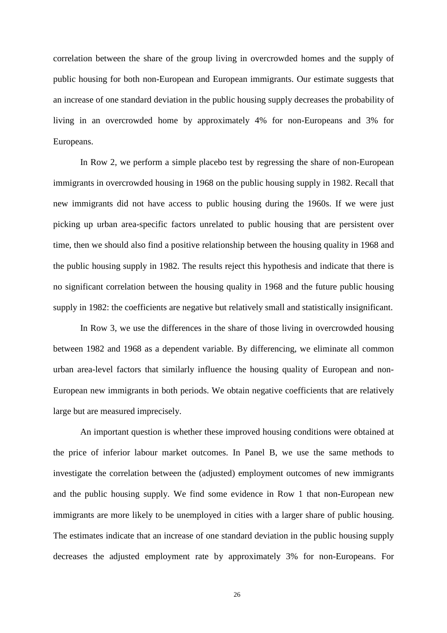correlation between the share of the group living in overcrowded homes and the supply of public housing for both non-European and European immigrants. Our estimate suggests that an increase of one standard deviation in the public housing supply decreases the probability of living in an overcrowded home by approximately 4% for non-Europeans and 3% for Europeans.

In Row 2, we perform a simple placebo test by regressing the share of non-European immigrants in overcrowded housing in 1968 on the public housing supply in 1982. Recall that new immigrants did not have access to public housing during the 1960s. If we were just picking up urban area-specific factors unrelated to public housing that are persistent over time, then we should also find a positive relationship between the housing quality in 1968 and the public housing supply in 1982. The results reject this hypothesis and indicate that there is no significant correlation between the housing quality in 1968 and the future public housing supply in 1982: the coefficients are negative but relatively small and statistically insignificant.

In Row 3, we use the differences in the share of those living in overcrowded housing between 1982 and 1968 as a dependent variable. By differencing, we eliminate all common urban area-level factors that similarly influence the housing quality of European and non-European new immigrants in both periods. We obtain negative coefficients that are relatively large but are measured imprecisely.

An important question is whether these improved housing conditions were obtained at the price of inferior labour market outcomes. In Panel B, we use the same methods to investigate the correlation between the (adjusted) employment outcomes of new immigrants and the public housing supply. We find some evidence in Row 1 that non-European new immigrants are more likely to be unemployed in cities with a larger share of public housing. The estimates indicate that an increase of one standard deviation in the public housing supply decreases the adjusted employment rate by approximately 3% for non-Europeans. For

26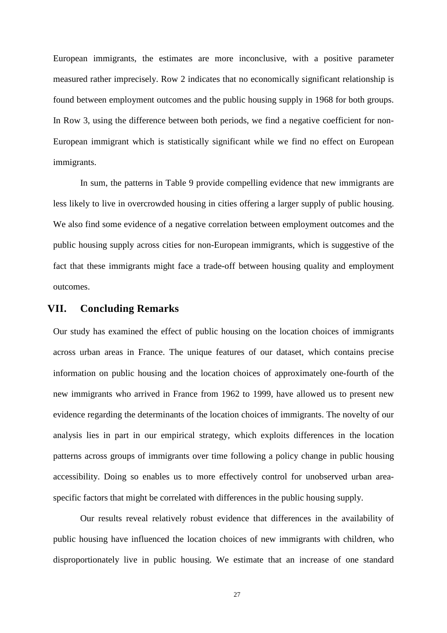European immigrants, the estimates are more inconclusive, with a positive parameter measured rather imprecisely. Row 2 indicates that no economically significant relationship is found between employment outcomes and the public housing supply in 1968 for both groups. In Row 3, using the difference between both periods, we find a negative coefficient for non-European immigrant which is statistically significant while we find no effect on European immigrants.

In sum, the patterns in Table 9 provide compelling evidence that new immigrants are less likely to live in overcrowded housing in cities offering a larger supply of public housing. We also find some evidence of a negative correlation between employment outcomes and the public housing supply across cities for non-European immigrants, which is suggestive of the fact that these immigrants might face a trade-off between housing quality and employment outcomes.

### **VII. Concluding Remarks**

Our study has examined the effect of public housing on the location choices of immigrants across urban areas in France. The unique features of our dataset, which contains precise information on public housing and the location choices of approximately one-fourth of the new immigrants who arrived in France from 1962 to 1999, have allowed us to present new evidence regarding the determinants of the location choices of immigrants. The novelty of our analysis lies in part in our empirical strategy, which exploits differences in the location patterns across groups of immigrants over time following a policy change in public housing accessibility. Doing so enables us to more effectively control for unobserved urban areaspecific factors that might be correlated with differences in the public housing supply.

Our results reveal relatively robust evidence that differences in the availability of public housing have influenced the location choices of new immigrants with children, who disproportionately live in public housing. We estimate that an increase of one standard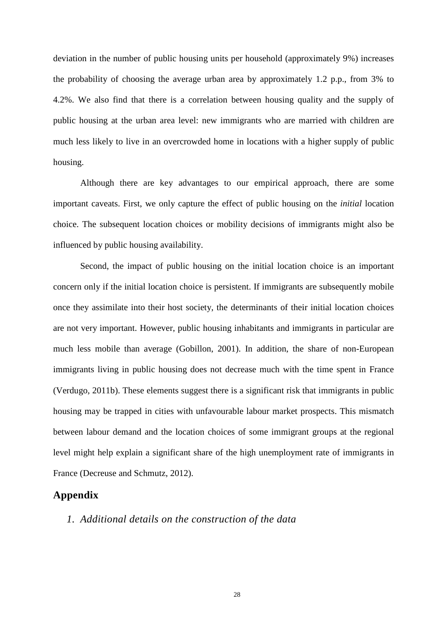deviation in the number of public housing units per household (approximately 9%) increases the probability of choosing the average urban area by approximately 1.2 p.p., from 3% to 4.2%. We also find that there is a correlation between housing quality and the supply of public housing at the urban area level: new immigrants who are married with children are much less likely to live in an overcrowded home in locations with a higher supply of public housing.

Although there are key advantages to our empirical approach, there are some important caveats. First, we only capture the effect of public housing on the *initial* location choice. The subsequent location choices or mobility decisions of immigrants might also be influenced by public housing availability.

Second, the impact of public housing on the initial location choice is an important concern only if the initial location choice is persistent. If immigrants are subsequently mobile once they assimilate into their host society, the determinants of their initial location choices are not very important. However, public housing inhabitants and immigrants in particular are much less mobile than average (Gobillon, 2001). In addition, the share of non-European immigrants living in public housing does not decrease much with the time spent in France (Verdugo, 2011b). These elements suggest there is a significant risk that immigrants in public housing may be trapped in cities with unfavourable labour market prospects. This mismatch between labour demand and the location choices of some immigrant groups at the regional level might help explain a significant share of the high unemployment rate of immigrants in France (Decreuse and Schmutz, 2012).

### **Appendix**

### *1. Additional details on the construction of the data*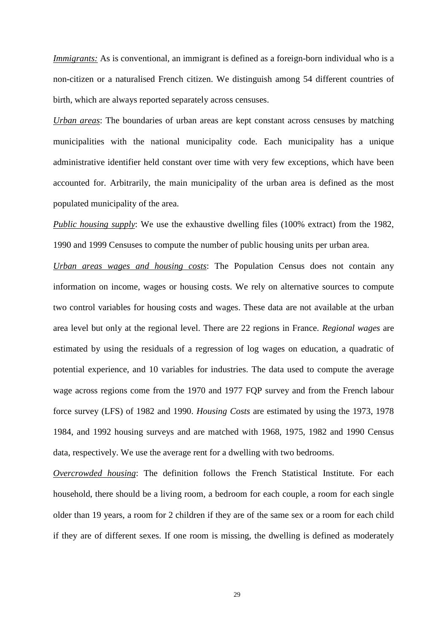*Immigrants:* As is conventional, an immigrant is defined as a foreign-born individual who is a non-citizen or a naturalised French citizen. We distinguish among 54 different countries of birth, which are always reported separately across censuses.

*Urban areas*: The boundaries of urban areas are kept constant across censuses by matching municipalities with the national municipality code. Each municipality has a unique administrative identifier held constant over time with very few exceptions, which have been accounted for. Arbitrarily, the main municipality of the urban area is defined as the most populated municipality of the area.

*Public housing supply*: We use the exhaustive dwelling files (100% extract) from the 1982, 1990 and 1999 Censuses to compute the number of public housing units per urban area.

*Urban areas wages and housing costs*: The Population Census does not contain any information on income, wages or housing costs. We rely on alternative sources to compute two control variables for housing costs and wages. These data are not available at the urban area level but only at the regional level. There are 22 regions in France. *Regional wages* are estimated by using the residuals of a regression of log wages on education, a quadratic of potential experience, and 10 variables for industries. The data used to compute the average wage across regions come from the 1970 and 1977 FQP survey and from the French labour force survey (LFS) of 1982 and 1990. *Housing Costs* are estimated by using the 1973, 1978 1984, and 1992 housing surveys and are matched with 1968, 1975, 1982 and 1990 Census data, respectively. We use the average rent for a dwelling with two bedrooms.

*Overcrowded housing*: The definition follows the French Statistical Institute. For each household, there should be a living room, a bedroom for each couple, a room for each single older than 19 years, a room for 2 children if they are of the same sex or a room for each child if they are of different sexes. If one room is missing, the dwelling is defined as moderately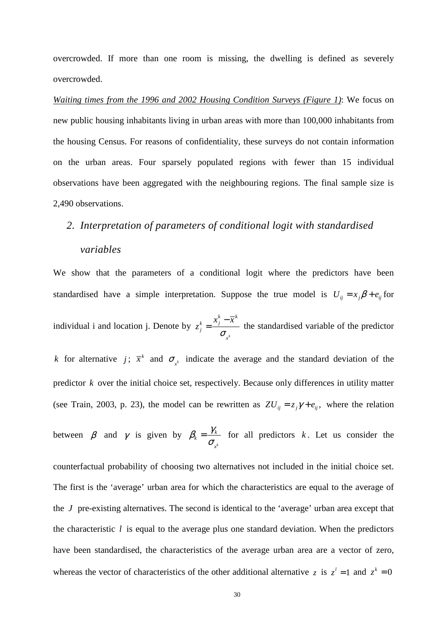overcrowded. If more than one room is missing, the dwelling is defined as severely overcrowded.

*Waiting times from the 1996 and 2002 Housing Condition Surveys (Figure 1)*: We focus on new public housing inhabitants living in urban areas with more than 100,000 inhabitants from the housing Census. For reasons of confidentiality, these surveys do not contain information on the urban areas. Four sparsely populated regions with fewer than 15 individual observations have been aggregated with the neighbouring regions. The final sample size is 2,490 observations.

# *2. Interpretation of parameters of conditional logit with standardised*

## *variables*

We show that the parameters of a conditional logit where the predictors have been standardised have a simple interpretation. Suppose the true model is  $U_{ij} = x_j \beta + e_{ij}$  for individual i and location j. Denote by *k k k*  $k = \frac{A}{j}$ *j x*  $x_i^k - \overline{x}$  $z_j^k = \frac{y}{\sigma}$ −  $=\frac{m_{1}}{m_{1}}$  the standardised variable of the predictor *k* for alternative *j*;  $\bar{x}^k$  and  $\sigma_{x^k}$  indicate the average and the standard deviation of the predictor *k* over the initial choice set, respectively. Because only differences in utility matter

(see Train, 2003, p. 23), the model can be rewritten as  $ZU_{ij} = z_j \gamma + e_{ij}$ , where the relation

between  $\beta$  and  $\gamma$  is given by *k*  $\alpha_k' = \frac{I_k}{I_k}$ *x*  $\beta_k = \frac{\gamma_k}{\sigma_k}$  for all predictors *k*. Let us consider the

counterfactual probability of choosing two alternatives not included in the initial choice set. The first is the 'average' urban area for which the characteristics are equal to the average of the *J* pre-existing alternatives. The second is identical to the 'average' urban area except that the characteristic *l* is equal to the average plus one standard deviation. When the predictors have been standardised, the characteristics of the average urban area are a vector of zero, whereas the vector of characteristics of the other additional alternative *z* is  $z^i = 1$  and  $z^k = 0$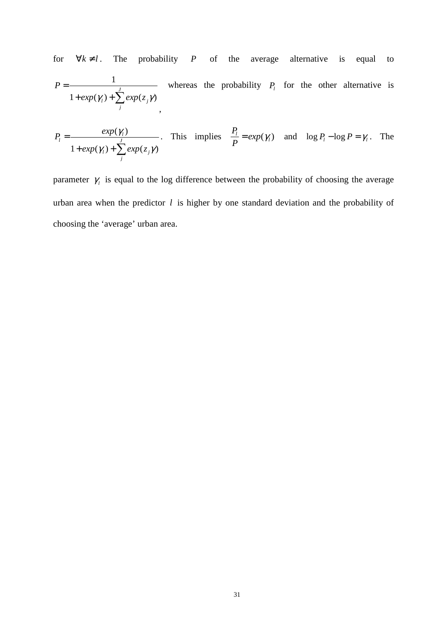for  $\forall k \neq l$ . The probability *P* of the average alternative is equal to 1  $1 + exp(\gamma_i) + \sum exp(z_i \gamma)$ *J*  $l^j$   $\perp$   $\epsilon \Lambda p(\kappa_j)$ *j P*  $exp(\gamma_i) + \sum exp(z_i \gamma_j)$ = +  $exp(\gamma_l)$  +  $\sum$ , whereas the probability  $P_l$  for the other alternative is

$$
P_l = \frac{exp(\gamma_l)}{1 + exp(\gamma_l) + \sum_{j}^{J} exp(z_j \gamma)}
$$
. This implies  $\frac{P_l}{P} = exp(\gamma_l)$  and  $log P_l - log P = \gamma_l$ . The

parameter  $\gamma$  is equal to the log difference between the probability of choosing the average urban area when the predictor *l* is higher by one standard deviation and the probability of choosing the 'average' urban area.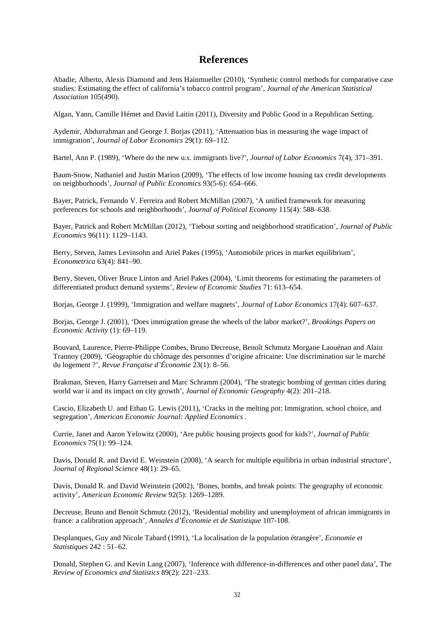### **References**

Abadie, Alberto, Alexis Diamond and Jens Hainmueller (2010), 'Synthetic control methods for comparative case studies: Estimating the effect of california's tobacco control program', *Journal of the American Statistical Association* 105(490).

Algan, Yann, Camille Hémet and David Laitin (2011), Diversity and Public Good in a Republican Setting.

Aydemir, Abdurrahman and George J. Borjas (2011), 'Attenuation bias in measuring the wage impact of immigration', *Journal of Labor Economics* 29(1): 69–112.

Bartel, Ann P. (1989), 'Where do the new u.s. immigrants live?', *Journal of Labor Economics* 7(4), 371–391.

Baum-Snow, Nathaniel and Justin Marion (2009), 'The effects of low income housing tax credit developments on neighborhoods', *Journal of Public Economics* 93(5-6): 654–666.

Bayer, Patrick, Fernando V. Ferreira and Robert McMillan (2007), 'A unified framework for measuring preferences for schools and neighborhoods', *Journal of Political Economy* 115(4): 588–638.

Bayer, Patrick and Robert McMillan (2012), 'Tiebout sorting and neighborhood stratification', *Journal of Public Economics* 96(11): 1129–1143.

Berry, Steven, James Levinsohn and Ariel Pakes (1995), 'Automobile prices in market equilibrium', *Econometrica* 63(4): 841–90.

Berry, Steven, Oliver Bruce Linton and Ariel Pakes (2004), 'Limit theorems for estimating the parameters of differentiated product demand systems', *Review of Economic Studies* 71: 613–654.

Borjas, George J. (1999), 'Immigration and welfare magnets', *Journal of Labor Economics* 17(4): 607–637.

Borjas, George J. (2001), 'Does immigration grease the wheels of the labor market?', *Brookings Papers on Economic Activity* (1): 69–119.

Bouvard, Laurence, Pierre-Philippe Combes, Bruno Decreuse, Benoît Schmutz Morgane Laouénan and Alain Trannoy (2009), 'Géographie du chômage des personnes d'origine africaine: Une discrimination sur le marché du logement ?', *Revue Française d'Économie* 23(1): 8–56.

Brakman, Steven, Harry Garretsen and Marc Schramm (2004), 'The strategic bombing of german cities during world war ii and its impact on city growth', *Journal of Economic Geography* 4(2): 201–218.

Cascio, Elizabeth U. and Ethan G. Lewis (2011), 'Cracks in the melting pot: Immigration, school choice, and segregation', *American Economic Journal: Applied Economics* .

Currie, Janet and Aaron Yelowitz (2000), 'Are public housing projects good for kids?', *Journal of Public Economics* 75(1): 99–124.

Davis, Donald R. and David E. Weinstein (2008), 'A search for multiple equilibria in urban industrial structure', *Journal of Regional Science* 48(1): 29–65.

Davis, Donald R. and David Weinstein (2002), 'Bones, bombs, and break points: The geography of economic activity', *American Economic Review* 92(5): 1269–1289.

Decreuse, Bruno and Benoit Schmutz (2012), 'Residential mobility and unemployment of african immigrants in france: a calibration approach', *Annales d'Économie et de Statistique* 107-108.

Desplanques, Guy and Nicole Tabard (1991), 'La localisation de la population étrangère', *Economie et Statistiques* 242 : 51–62.

Donald, Stephen G. and Kevin Lang (2007), 'Inference with difference-in-differences and other panel data', The *Review of Economics and Statistics* 89(2): 221–233.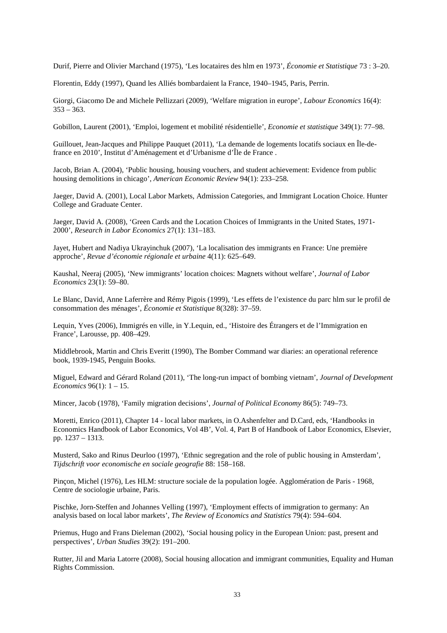Durif, Pierre and Olivier Marchand (1975), 'Les locataires des hlm en 1973', *Économie et Statistique* 73 : 3–20.

Florentin, Eddy (1997), Quand les Alliés bombardaient la France, 1940–1945, Paris, Perrin.

Giorgi, Giacomo De and Michele Pellizzari (2009), 'Welfare migration in europe', *Labour Economics* 16(4):  $353 - 363$ .

Gobillon, Laurent (2001), 'Emploi, logement et mobilité résidentielle', *Economie et statistique* 349(1): 77–98.

Guillouet, Jean-Jacques and Philippe Pauquet (2011), 'La demande de logements locatifs sociaux en Île-defrance en 2010', Institut d'Aménagement et d'Urbanisme d'Île de France .

Jacob, Brian A. (2004), 'Public housing, housing vouchers, and student achievement: Evidence from public housing demolitions in chicago', *American Economic Review* 94(1): 233–258.

Jaeger, David A. (2001), Local Labor Markets, Admission Categories, and Immigrant Location Choice. Hunter College and Graduate Center.

Jaeger, David A. (2008), 'Green Cards and the Location Choices of Immigrants in the United States, 1971- 2000', *Research in Labor Economics* 27(1): 131–183.

Jayet, Hubert and Nadiya Ukrayinchuk (2007), 'La localisation des immigrants en France: Une première approche', *Revue d'économie régionale et urbaine* 4(11): 625–649.

Kaushal, Neeraj (2005), 'New immigrants' location choices: Magnets without welfare', *Journal of Labor Economics* 23(1): 59–80.

Le Blanc, David, Anne Laferrère and Rémy Pigois (1999), 'Les effets de l'existence du parc hlm sur le profil de consommation des ménages', *Économie et Statistique* 8(328): 37–59.

Lequin, Yves (2006), Immigrés en ville, in Y.Lequin, ed., 'Histoire des Étrangers et de l'Immigration en France', Larousse, pp. 408–429.

Middlebrook, Martin and Chris Everitt (1990), The Bomber Command war diaries: an operational reference book, 1939-1945, Penguin Books.

Miguel, Edward and Gérard Roland (2011), 'The long-run impact of bombing vietnam', *Journal of Development Economics* 96(1): 1 – 15.

Mincer, Jacob (1978), 'Family migration decisions', *Journal of Political Economy* 86(5): 749–73.

Moretti, Enrico (2011), Chapter 14 - local labor markets, in O.Ashenfelter and D.Card, eds, 'Handbooks in Economics Handbook of Labor Economics, Vol 4B', Vol. 4, Part B of Handbook of Labor Economics, Elsevier, pp. 1237 – 1313.

Musterd, Sako and Rinus Deurloo (1997), 'Ethnic segregation and the role of public housing in Amsterdam', *Tijdschrift voor economische en sociale geografie* 88: 158–168.

Pinçon, Michel (1976), Les HLM: structure sociale de la population logée. Agglomération de Paris - 1968, Centre de sociologie urbaine, Paris.

Pischke, Jorn-Steffen and Johannes Velling (1997), 'Employment effects of immigration to germany: An analysis based on local labor markets', *The Review of Economics and Statistics* 79(4): 594–604.

Priemus, Hugo and Frans Dieleman (2002), 'Social housing policy in the European Union: past, present and perspectives', *Urban Studies* 39(2): 191–200.

Rutter, Jil and Maria Latorre (2008), Social housing allocation and immigrant communities, Equality and Human Rights Commission.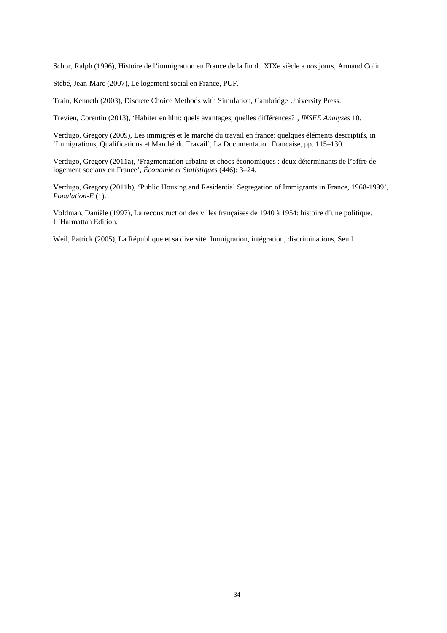Schor, Ralph (1996), Histoire de l'immigration en France de la fin du XIXe siècle a nos jours, Armand Colin.

Stébé, Jean-Marc (2007), Le logement social en France, PUF.

Train, Kenneth (2003), Discrete Choice Methods with Simulation, Cambridge University Press.

Trevien, Corentin (2013), 'Habiter en hlm: quels avantages, quelles différences?', *INSEE Analyses* 10.

Verdugo, Gregory (2009), Les immigrés et le marché du travail en france: quelques éléments descriptifs, in 'Immigrations, Qualifications et Marché du Travail', La Documentation Francaise, pp. 115–130.

Verdugo, Gregory (2011a), 'Fragmentation urbaine et chocs économiques : deux déterminants de l'offre de logement sociaux en France', *Économie et Statistiques* (446): 3–24.

Verdugo, Gregory (2011b), 'Public Housing and Residential Segregation of Immigrants in France, 1968-1999', *Population-E* (1).

Voldman, Danièle (1997), La reconstruction des villes françaises de 1940 à 1954: histoire d'une politique, L'Harmattan Edition.

Weil, Patrick (2005), La République et sa diversité: Immigration, intégration, discriminations, Seuil.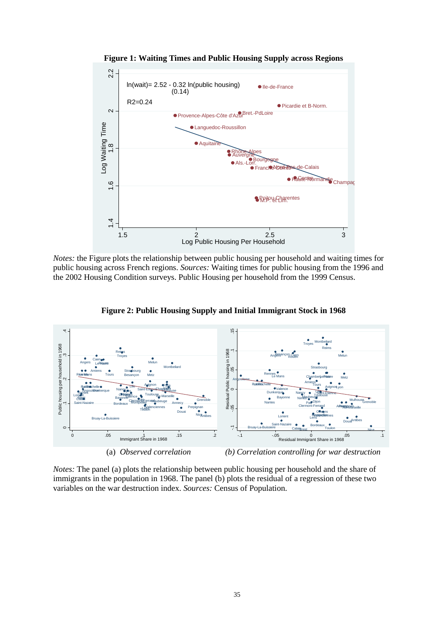

**Figure 1: Waiting Times and Public Housing Supply across Regions** 

*Notes:* the Figure plots the relationship between public housing per household and waiting times for public housing across French regions. *Sources:* Waiting times for public housing from the 1996 and the 2002 Housing Condition surveys. Public Housing per household from the 1999 Census.



**Figure 2: Public Housing Supply and Initial Immigrant Stock in 1968** 

*Notes:* The panel (a) plots the relationship between public housing per household and the share of immigrants in the population in 1968. The panel (b) plots the residual of a regression of these two variables on the war destruction index. *Sources:* Census of Population.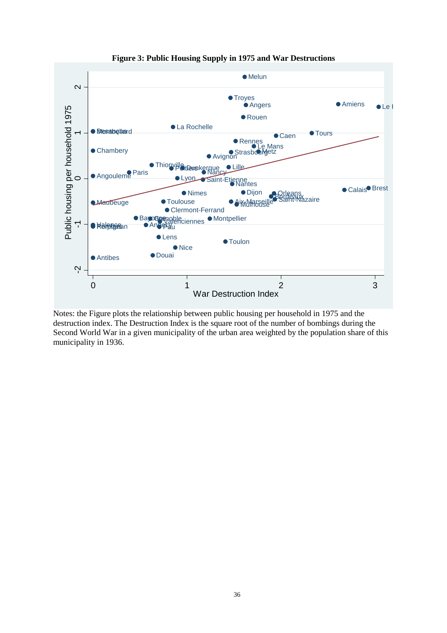

**Figure 3: Public Housing Supply in 1975 and War Destructions** 

Notes: the Figure plots the relationship between public housing per household in 1975 and the destruction index. The Destruction Index is the square root of the number of bombings during the Second World War in a given municipality of the urban area weighted by the population share of this municipality in 1936.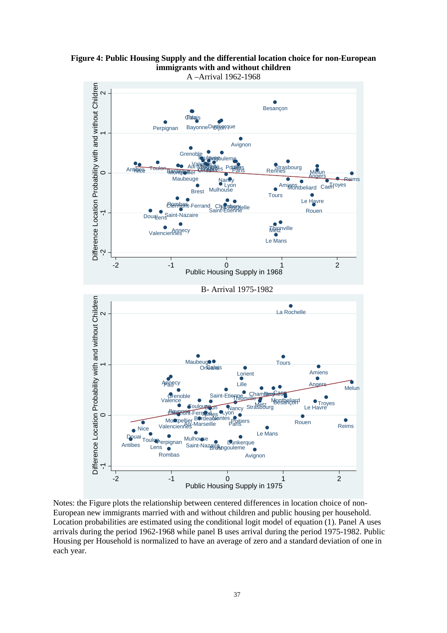

**Figure 4: Public Housing Supply and the differential location choice for non-European immigrants with and without children** 

Notes: the Figure plots the relationship between centered differences in location choice of non-European new immigrants married with and without children and public housing per household. Location probabilities are estimated using the conditional logit model of equation (1). Panel A uses arrivals during the period 1962-1968 while panel B uses arrival during the period 1975-1982. Public Housing per Household is normalized to have an average of zero and a standard deviation of one in each year.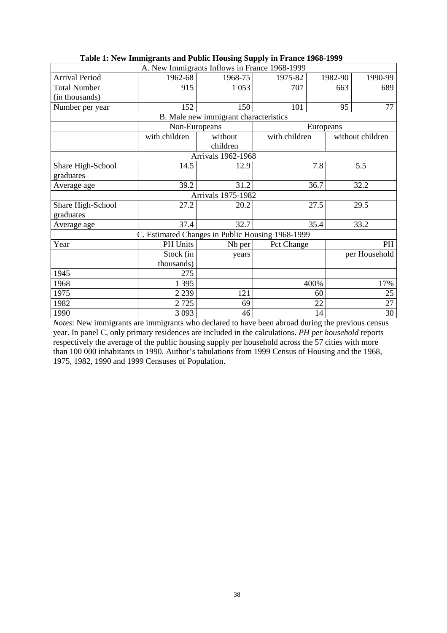| A. New Immigrants Inflows in France 1968-1999 |                                                  |                                       |               |           |                  |
|-----------------------------------------------|--------------------------------------------------|---------------------------------------|---------------|-----------|------------------|
| <b>Arrival Period</b>                         | 1962-68                                          | 1968-75                               | 1975-82       | 1982-90   | 1990-99          |
| <b>Total Number</b>                           | 915                                              | 1 0 5 3                               | 707           | 663       | 689              |
| (in thousands)                                |                                                  |                                       |               |           |                  |
| Number per year                               | 152                                              | 150                                   | 101           | 95        | 77               |
|                                               |                                                  | B. Male new immigrant characteristics |               |           |                  |
|                                               | Non-Europeans                                    |                                       |               | Europeans |                  |
|                                               | with children                                    | without                               | with children |           | without children |
|                                               |                                                  | children                              |               |           |                  |
|                                               |                                                  | Arrivals 1962-1968                    |               |           |                  |
| Share High-School                             | 14.5                                             | 12.9                                  |               | 7.8       | 5.5              |
| graduates                                     |                                                  |                                       |               |           |                  |
| Average age                                   | 39.2                                             | 31.2                                  |               | 36.7      | 32.2             |
|                                               |                                                  | <b>Arrivals 1975-1982</b>             |               |           |                  |
| Share High-School                             | 27.2                                             | 20.2                                  |               | 27.5      | 29.5             |
| graduates                                     |                                                  |                                       |               |           |                  |
| Average age                                   | 37.4                                             | 32.7                                  |               | 35.4      | 33.2             |
|                                               | C. Estimated Changes in Public Housing 1968-1999 |                                       |               |           |                  |
| Year                                          | PH Units                                         | Nb per                                | Pct Change    |           | PH               |
|                                               | Stock (in                                        | years                                 |               |           | per Household    |
|                                               | thousands)                                       |                                       |               |           |                  |
| 1945                                          | 275                                              |                                       |               |           |                  |
| 1968                                          | 1 3 9 5                                          |                                       |               | 400%      | 17%              |
| 1975                                          | 2 2 3 9                                          | 121                                   |               | 60        | 25               |
| 1982                                          | 2725                                             | 69                                    |               | 22        | 27               |
| 1990                                          | 3 0 9 3                                          | 46                                    |               | 14        | 30               |

*Notes*: New immigrants are immigrants who declared to have been abroad during the previous census year. In panel C, only primary residences are included in the calculations. *PH per household* reports respectively the average of the public housing supply per household across the 57 cities with more than 100 000 inhabitants in 1990. Author's tabulations from 1999 Census of Housing and the 1968, 1975, 1982, 1990 and 1999 Censuses of Population.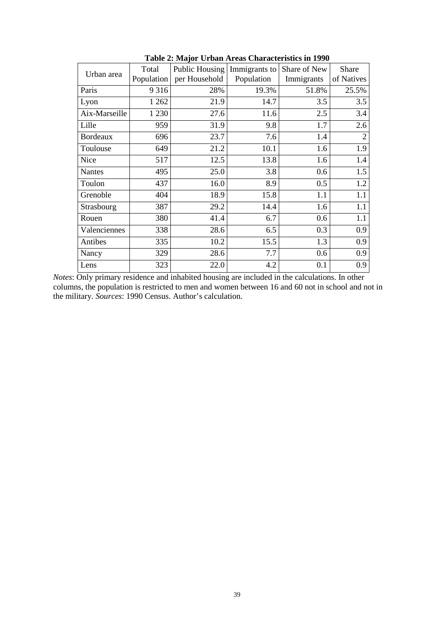| Urban area      | Total<br>Population | Public Housing<br>per Household | Immigrants to<br>Population | Share of New<br>Immigrants | Share<br>of Natives |
|-----------------|---------------------|---------------------------------|-----------------------------|----------------------------|---------------------|
| Paris           | 9316                | 28%                             | 19.3%                       | 51.8%                      | 25.5%               |
| Lyon            | 1 262               | 21.9                            | 14.7                        | 3.5                        | 3.5                 |
| Aix-Marseille   | 1 2 3 0             | 27.6                            | 11.6                        | 2.5                        | 3.4                 |
| Lille           | 959                 | 31.9                            | 9.8                         | 1.7                        | 2.6                 |
| <b>Bordeaux</b> | 696                 | 23.7                            | 7.6                         | 1.4                        | $\overline{c}$      |
| Toulouse        | 649                 | 21.2                            | 10.1                        | 1.6                        | 1.9                 |
| Nice            | 517                 | 12.5                            | 13.8                        | 1.6                        | 1.4                 |
| <b>Nantes</b>   | 495                 | 25.0                            | 3.8                         | 0.6                        | 1.5                 |
| Toulon          | 437                 | 16.0                            | 8.9                         | 0.5                        | 1.2                 |
| Grenoble        | 404                 | 18.9                            | 15.8                        | 1.1                        | 1.1                 |
| Strasbourg      | 387                 | 29.2                            | 14.4                        | 1.6                        | 1.1                 |
| Rouen           | 380                 | 41.4                            | 6.7                         | 0.6                        | 1.1                 |
| Valenciennes    | 338                 | 28.6                            | 6.5                         | 0.3                        | 0.9                 |
| Antibes         | 335                 | 10.2                            | 15.5                        | 1.3                        | 0.9                 |
| Nancy           | 329                 | 28.6                            | 7.7                         | 0.6                        | 0.9                 |
| Lens            | 323                 | 22.0                            | 4.2                         | 0.1                        | 0.9                 |

**Table 2: Major Urban Areas Characteristics in 1990** 

*Notes*: Only primary residence and inhabited housing are included in the calculations. In other columns, the population is restricted to men and women between 16 and 60 not in school and not in the military. *Sources*: 1990 Census. Author's calculation.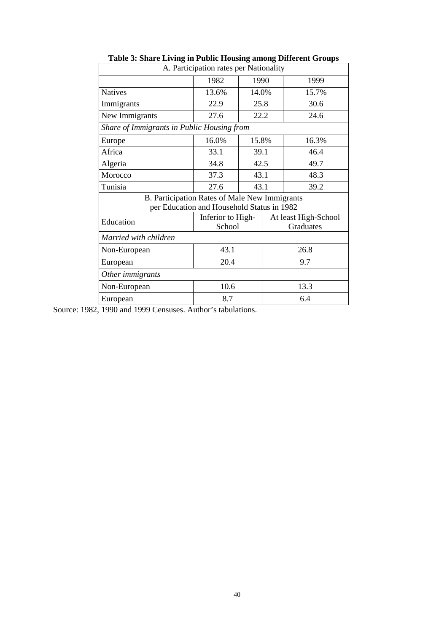| A. Participation rates per Nationality        |                                            |       |                      |       |  |
|-----------------------------------------------|--------------------------------------------|-------|----------------------|-------|--|
|                                               | 1990<br>1982                               |       |                      | 1999  |  |
| <b>Natives</b>                                | 13.6%                                      | 14.0% |                      | 15.7% |  |
| Immigrants                                    | 22.9                                       | 25.8  |                      | 30.6  |  |
| New Immigrants                                | 27.6                                       | 22.2  |                      | 24.6  |  |
| Share of Immigrants in Public Housing from    |                                            |       |                      |       |  |
| Europe                                        | 16.0%                                      | 15.8% |                      | 16.3% |  |
| Africa                                        | 33.1                                       | 39.1  |                      | 46.4  |  |
| Algeria                                       | 42.5<br>34.8                               |       |                      | 49.7  |  |
| Morocco                                       | 37.3                                       | 43.1  |                      | 48.3  |  |
| Tunisia                                       | 27.6                                       | 43.1  |                      | 39.2  |  |
| B. Participation Rates of Male New Immigrants |                                            |       |                      |       |  |
|                                               | per Education and Household Status in 1982 |       |                      |       |  |
| Education                                     | Inferior to High-                          |       | At least High-School |       |  |
|                                               | School                                     |       | Graduates            |       |  |
| Married with children                         |                                            |       |                      |       |  |
| Non-European                                  | 43.1                                       |       | 26.8                 |       |  |
| European                                      | 20.4                                       |       | 9.7                  |       |  |
| Other immigrants                              |                                            |       |                      |       |  |
| Non-European                                  | 10.6                                       |       | 13.3                 |       |  |
| European                                      | 8.7                                        |       | 6.4                  |       |  |

**Table 3: Share Living in Public Housing among Different Groups**

Source: 1982, 1990 and 1999 Censuses. Author's tabulations.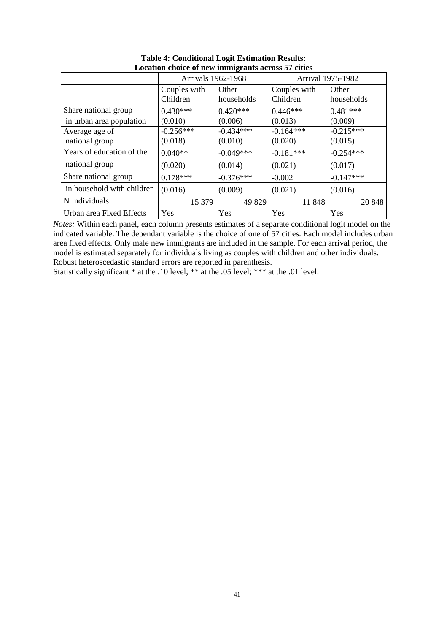|                            | Arrivals 1962-1968       |                     |                          | Arrival 1975-1982   |
|----------------------------|--------------------------|---------------------|--------------------------|---------------------|
|                            | Couples with<br>Children | Other<br>households | Couples with<br>Children | Other<br>households |
|                            |                          |                     |                          |                     |
| Share national group       | $0.430***$               | $0.420***$          | $0.446***$               | $0.481***$          |
| in urban area population   | (0.010)                  | (0.006)             | (0.013)                  | (0.009)             |
| Average age of             | $-0.256***$              | $-0.434***$         | $-0.164***$              | $-0.215***$         |
| national group             | (0.018)                  | (0.010)             | (0.020)                  | (0.015)             |
| Years of education of the  | $0.040**$                | $-0.049***$         | $-0.181***$              | $-0.254***$         |
| national group             | (0.020)                  | (0.014)             | (0.021)                  | (0.017)             |
| Share national group       | $0.178***$               | $-0.376***$         | $-0.002$                 | $-0.147***$         |
| in household with children | (0.016)                  | (0.009)             | (0.021)                  | (0.016)             |
| N Individuals              | 15 379                   | 49829               | 11848                    | 20 848              |
| Urban area Fixed Effects   | Yes                      | Yes                 | Yes                      | Yes                 |

#### **Table 4: Conditional Logit Estimation Results: Location choice of new immigrants across 57 cities**

*Notes:* Within each panel, each column presents estimates of a separate conditional logit model on the indicated variable. The dependant variable is the choice of one of 57 cities. Each model includes urban area fixed effects. Only male new immigrants are included in the sample. For each arrival period, the model is estimated separately for individuals living as couples with children and other individuals. Robust heteroscedastic standard errors are reported in parenthesis.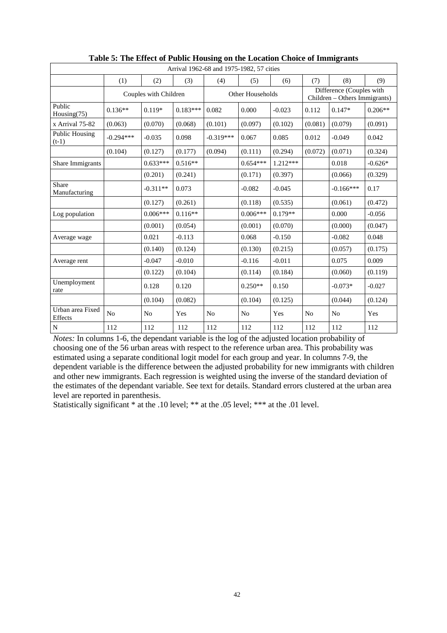| Arrival 1962-68 and 1975-1982, 57 cities |             |                       |            |             |                  |            |                                                           |                |           |
|------------------------------------------|-------------|-----------------------|------------|-------------|------------------|------------|-----------------------------------------------------------|----------------|-----------|
|                                          | (1)         | (2)                   | (3)        | (4)         | (5)              | (6)        | (7)                                                       | (8)            | (9)       |
|                                          |             | Couples with Children |            |             | Other Households |            | Difference (Couples with<br>Children - Others Immigrants) |                |           |
| Public<br>Housing $(75)$                 | $0.136**$   | $0.119*$              | $0.183***$ | 0.082       | 0.000            | $-0.023$   | 0.112                                                     | $0.147*$       | $0.206**$ |
| x Arrival 75-82                          | (0.063)     | (0.070)               | (0.068)    | (0.101)     | (0.097)          | (0.102)    | (0.081)                                                   | (0.079)        | (0.091)   |
| <b>Public Housing</b><br>$(t-1)$         | $-0.294***$ | $-0.035$              | 0.098      | $-0.319***$ | 0.067            | 0.085      | 0.012                                                     | $-0.049$       | 0.042     |
|                                          | (0.104)     | (0.127)               | (0.177)    | (0.094)     | (0.111)          | (0.294)    | (0.072)                                                   | (0.071)        | (0.324)   |
| Share Immigrants                         |             | $0.633***$            | $0.516**$  |             | $0.654***$       | $1.212***$ |                                                           | 0.018          | $-0.626*$ |
|                                          |             | (0.201)               | (0.241)    |             | (0.171)          | (0.397)    |                                                           | (0.066)        | (0.329)   |
| Share<br>Manufacturing                   |             | $-0.311**$            | 0.073      |             | $-0.082$         | $-0.045$   |                                                           | $-0.166***$    | 0.17      |
|                                          |             | (0.127)               | (0.261)    |             | (0.118)          | (0.535)    |                                                           | (0.061)        | (0.472)   |
| Log population                           |             | $0.006***$            | $0.116**$  |             | $0.006***$       | $0.179**$  |                                                           | 0.000          | $-0.056$  |
|                                          |             | (0.001)               | (0.054)    |             | (0.001)          | (0.070)    |                                                           | (0.000)        | (0.047)   |
| Average wage                             |             | 0.021                 | $-0.113$   |             | 0.068            | $-0.150$   |                                                           | $-0.082$       | 0.048     |
|                                          |             | (0.140)               | (0.124)    |             | (0.130)          | (0.215)    |                                                           | (0.057)        | (0.175)   |
| Average rent                             |             | $-0.047$              | $-0.010$   |             | $-0.116$         | $-0.011$   |                                                           | 0.075          | 0.009     |
|                                          |             | (0.122)               | (0.104)    |             | (0.114)          | (0.184)    |                                                           | (0.060)        | (0.119)   |
| Unemployment<br>rate                     |             | 0.128                 | 0.120      |             | $0.250**$        | 0.150      |                                                           | $-0.073*$      | $-0.027$  |
|                                          |             | (0.104)               | (0.082)    |             | (0.104)          | (0.125)    |                                                           | (0.044)        | (0.124)   |
| Urban area Fixed<br>Effects              | No          | No                    | Yes        | No          | N <sub>0</sub>   | Yes        | N <sub>0</sub>                                            | N <sub>0</sub> | Yes       |
| N                                        | 112         | 112                   | 112        | 112         | 112              | 112        | 112                                                       | 112            | 112       |

| Table 5: The Effect of Public Housing on the Location Choice of Immigrants |  |  |
|----------------------------------------------------------------------------|--|--|
|----------------------------------------------------------------------------|--|--|

*Notes:* In columns 1-6, the dependant variable is the log of the adjusted location probability of choosing one of the 56 urban areas with respect to the reference urban area. This probability was estimated using a separate conditional logit model for each group and year. In columns 7-9, the dependent variable is the difference between the adjusted probability for new immigrants with children and other new immigrants. Each regression is weighted using the inverse of the standard deviation of the estimates of the dependant variable. See text for details. Standard errors clustered at the urban area level are reported in parenthesis.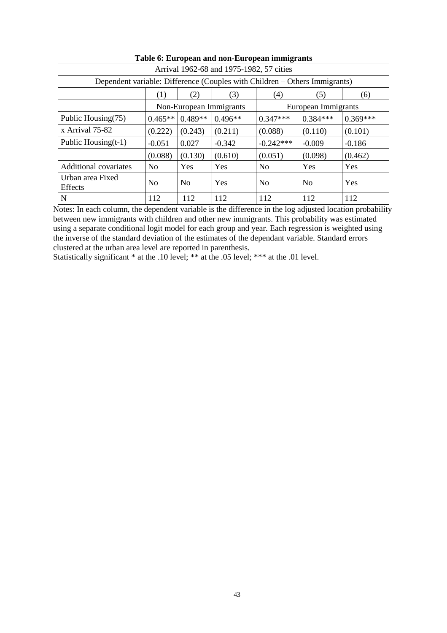| Arrival 1962-68 and 1975-1982, 57 cities                                   |                                                |                |            |                |                |            |
|----------------------------------------------------------------------------|------------------------------------------------|----------------|------------|----------------|----------------|------------|
| Dependent variable: Difference (Couples with Children – Others Immigrants) |                                                |                |            |                |                |            |
|                                                                            | $\left(1\right)$                               | (2)            | (3)        | (4)            | (5)            | (6)        |
|                                                                            | Non-European Immigrants<br>European Immigrants |                |            |                |                |            |
| Public Housing(75)                                                         | $0.465**$                                      | $0.489**$      | $0.496**$  | $0.347***$     | $0.384***$     | $0.369***$ |
| x Arrival 75-82                                                            | (0.222)                                        | (0.243)        | (0.211)    | (0.088)        | (0.110)        | (0.101)    |
| Public Housing $(t-1)$                                                     | $-0.051$                                       | 0.027          | $-0.342$   | $-0.242***$    | $-0.009$       | $-0.186$   |
|                                                                            | (0.088)                                        | (0.130)        | (0.610)    | (0.051)        | (0.098)        | (0.462)    |
| Additional covariates                                                      | N <sub>0</sub>                                 | <b>Yes</b>     | Yes        | N <sub>0</sub> | Yes            | Yes        |
| Urban area Fixed<br><b>Effects</b>                                         | N <sub>0</sub>                                 | N <sub>0</sub> | <b>Yes</b> | N <sub>0</sub> | N <sub>0</sub> | Yes        |
| N                                                                          | 112                                            | 112            | 112        | 112            | 112            | 112        |

### **Table 6: European and non-European immigrants**

Notes: In each column, the dependent variable is the difference in the log adjusted location probability between new immigrants with children and other new immigrants. This probability was estimated using a separate conditional logit model for each group and year. Each regression is weighted using the inverse of the standard deviation of the estimates of the dependant variable. Standard errors clustered at the urban area level are reported in parenthesis.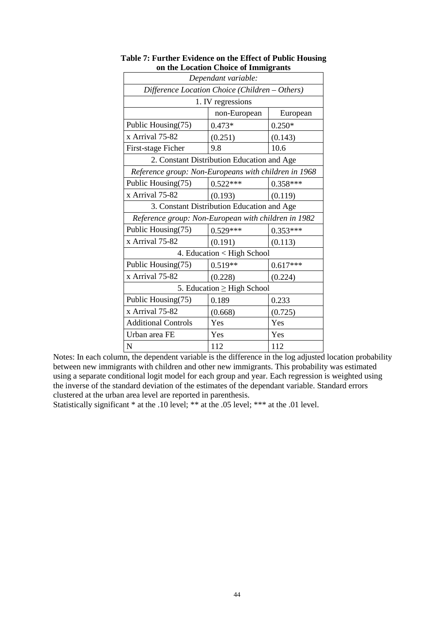|                                                      | adon Choice of mining and<br>Dependant variable: |            |  |  |  |
|------------------------------------------------------|--------------------------------------------------|------------|--|--|--|
| Difference Location Choice (Children - Others)       |                                                  |            |  |  |  |
|                                                      | 1. IV regressions                                |            |  |  |  |
|                                                      | non-European                                     | European   |  |  |  |
| Public Housing(75)                                   | $0.473*$                                         | $0.250*$   |  |  |  |
| x Arrival 75-82                                      | (0.251)                                          | (0.143)    |  |  |  |
| First-stage Ficher                                   | 9.8                                              | 10.6       |  |  |  |
|                                                      | 2. Constant Distribution Education and Age       |            |  |  |  |
| Reference group: Non-Europeans with children in 1968 |                                                  |            |  |  |  |
| Public Housing(75)                                   | $0.522***$                                       | $0.358***$ |  |  |  |
| x Arrival 75-82                                      | (0.193)                                          | (0.119)    |  |  |  |
|                                                      | 3. Constant Distribution Education and Age       |            |  |  |  |
| Reference group: Non-European with children in 1982  |                                                  |            |  |  |  |
| Public Housing(75)                                   | $0.529***$                                       | $0.353***$ |  |  |  |
| x Arrival 75-82                                      | (0.191)                                          | (0.113)    |  |  |  |
|                                                      | 4. Education < High School                       |            |  |  |  |
| Public Housing(75)                                   | $0.519**$                                        | $0.617***$ |  |  |  |
| x Arrival 75-82                                      | (0.228)                                          | (0.224)    |  |  |  |
| 5. Education $\geq$ High School                      |                                                  |            |  |  |  |
| Public Housing(75)                                   | 0.189                                            | 0.233      |  |  |  |
| x Arrival 75-82                                      | (0.668)                                          | (0.725)    |  |  |  |
| <b>Additional Controls</b>                           | Yes                                              | Yes        |  |  |  |
| Urban area FE                                        | Yes                                              | Yes        |  |  |  |
| $\mathbf N$                                          | 112                                              | 112        |  |  |  |

#### **Table 7: Further Evidence on the Effect of Public Housing on the Location Choice of Immigrants**

Notes: In each column, the dependent variable is the difference in the log adjusted location probability between new immigrants with children and other new immigrants. This probability was estimated using a separate conditional logit model for each group and year. Each regression is weighted using the inverse of the standard deviation of the estimates of the dependant variable. Standard errors clustered at the urban area level are reported in parenthesis.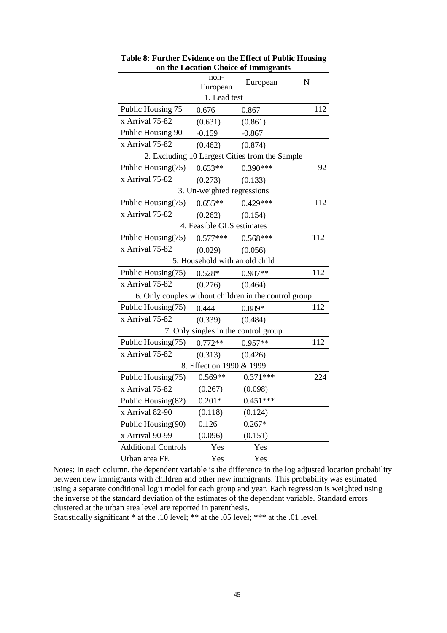|                                                       | non-<br>European                     | European   | N   |  |  |  |  |
|-------------------------------------------------------|--------------------------------------|------------|-----|--|--|--|--|
| 1. Lead test                                          |                                      |            |     |  |  |  |  |
| Public Housing 75                                     | 0.676                                | 0.867      | 112 |  |  |  |  |
| x Arrival 75-82                                       | (0.631)                              | (0.861)    |     |  |  |  |  |
| Public Housing 90                                     | $-0.159$                             | $-0.867$   |     |  |  |  |  |
| x Arrival 75-82                                       | (0.462)                              | (0.874)    |     |  |  |  |  |
| 2. Excluding 10 Largest Cities from the Sample        |                                      |            |     |  |  |  |  |
| Public Housing(75)                                    | $0.633**$                            | $0.390***$ | 92  |  |  |  |  |
| x Arrival 75-82                                       | (0.273)                              | (0.133)    |     |  |  |  |  |
|                                                       | 3. Un-weighted regressions           |            |     |  |  |  |  |
| Public Housing(75)                                    | $0.655**$                            | $0.429***$ | 112 |  |  |  |  |
| x Arrival 75-82                                       | (0.262)                              | (0.154)    |     |  |  |  |  |
|                                                       | 4. Feasible GLS estimates            |            |     |  |  |  |  |
| Public Housing(75)                                    | $0.577***$                           | $0.568***$ | 112 |  |  |  |  |
| x Arrival 75-82                                       | (0.029)                              | (0.056)    |     |  |  |  |  |
|                                                       | 5. Household with an old child       |            |     |  |  |  |  |
| Public Housing(75)                                    | $0.528*$                             | $0.987**$  | 112 |  |  |  |  |
| x Arrival 75-82                                       | (0.276)                              | (0.464)    |     |  |  |  |  |
| 6. Only couples without children in the control group |                                      |            |     |  |  |  |  |
| Public Housing(75)                                    | 0.444                                | 0.889*     | 112 |  |  |  |  |
| x Arrival 75-82                                       | (0.339)                              | (0.484)    |     |  |  |  |  |
|                                                       | 7. Only singles in the control group |            |     |  |  |  |  |
| Public Housing(75)                                    | $0.772**$                            | $0.957**$  | 112 |  |  |  |  |
| x Arrival 75-82                                       | (0.313)                              | (0.426)    |     |  |  |  |  |
| 8. Effect on 1990 & 1999                              |                                      |            |     |  |  |  |  |
| Public Housing(75)                                    | $0.569**$                            | $0.371***$ | 224 |  |  |  |  |
| x Arrival 75-82                                       | (0.267)                              | (0.098)    |     |  |  |  |  |
| Public Housing(82)                                    | $0.201*$                             | $0.451***$ |     |  |  |  |  |
| x Arrival 82-90                                       | (0.118)                              | (0.124)    |     |  |  |  |  |
| Public Housing(90)                                    | 0.126                                | $0.267*$   |     |  |  |  |  |
| x Arrival 90-99                                       | (0.096)                              | (0.151)    |     |  |  |  |  |
| <b>Additional Controls</b>                            | Yes                                  | Yes        |     |  |  |  |  |
| Urban area FE                                         | Yes                                  | Yes        |     |  |  |  |  |

**Table 8: Further Evidence on the Effect of Public Housing on the Location Choice of Immigrants**

Notes: In each column, the dependent variable is the difference in the log adjusted location probability between new immigrants with children and other new immigrants. This probability was estimated using a separate conditional logit model for each group and year. Each regression is weighted using the inverse of the standard deviation of the estimates of the dependant variable. Standard errors clustered at the urban area level are reported in parenthesis.